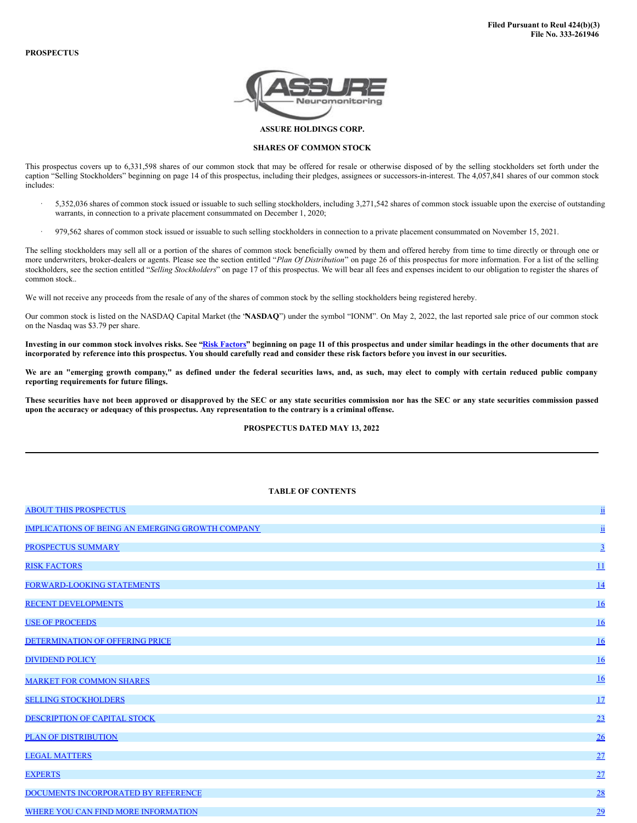

**ASSURE HOLDINGS CORP.**

## **SHARES OF COMMON STOCK**

This prospectus covers up to 6,331,598 shares of our common stock that may be offered for resale or otherwise disposed of by the selling stockholders set forth under the caption "Selling Stockholders" beginning on page 14 of this prospectus, including their pledges, assignees or successors-in-interest. The 4,057,841 shares of our common stock includes:

- · 5,352,036 shares of common stock issued or issuable to such selling stockholders, including 3,271,542 shares of common stock issuable upon the exercise of outstanding warrants, in connection to a private placement consummated on December 1, 2020;
- · 979,562 shares of common stock issued or issuable to such selling stockholders in connection to a private placement consummated on November 15, 2021.

The selling stockholders may sell all or a portion of the shares of common stock beneficially owned by them and offered hereby from time to time directly or through one or more underwriters, broker-dealers or agents. Please see the section entitled "*Plan Of Distribution*" on page 26 of this prospectus for more information. For a list of the selling stockholders, see the section entitled "*Selling Stockholders*" on page 17 of this prospectus. We will bear all fees and expenses incident to our obligation to register the shares of common stock..

We will not receive any proceeds from the resale of any of the shares of common stock by the selling stockholders being registered hereby.

Our common stock is listed on the NASDAQ Capital Market (the "**NASDAQ**") under the symbol "IONM". On May 2, 2022, the last reported sale price of our common stock on the Nasdaq was \$3.79 per share.

Investing in our common stock involves risks. See "Risk [Factors](#page-6-0)" beginning on page 11 of this prospectus and under similar headings in the other documents that are incorporated by reference into this prospectus. You should carefully read and consider these risk factors before you invest in our securities.

We are an "emerging growth company," as defined under the federal securities laws, and, as such, may elect to comply with certain reduced public company **reporting requirements for future filings.**

These securities have not been approved or disapproved by the SEC or any state securities commission nor has the SEC or any state securities commission passed upon the accuracy or adequacy of this prospectus. Any representation to the contrary is a criminal offense.

## **PROSPECTUS DATED MAY 13, 2022**

### **TABLE OF CONTENTS**

| <b>ABOUT THIS PROSPECTUS</b>                            | $\underline{\textbf{ii}}$ |
|---------------------------------------------------------|---------------------------|
| <b>IMPLICATIONS OF BEING AN EMERGING GROWTH COMPANY</b> | $\underline{\textbf{ii}}$ |
| PROSPECTUS SUMMARY                                      | $\overline{3}$            |
| <b>RISK FACTORS</b>                                     | 11                        |
| FORWARD-LOOKING STATEMENTS                              | 14                        |
| <b>RECENT DEVELOPMENTS</b>                              | 16                        |
| <b>USE OF PROCEEDS</b>                                  | 16                        |
| DETERMINATION OF OFFERING PRICE                         | 16                        |
| <b>DIVIDEND POLICY</b>                                  | <u>16</u>                 |
| <b>MARKET FOR COMMON SHARES</b>                         | 16                        |
| <b>SELLING STOCKHOLDERS</b>                             | 17                        |
| DESCRIPTION OF CAPITAL STOCK                            | 23                        |
| PLAN OF DISTRIBUTION                                    | 26                        |
| <b>LEGAL MATTERS</b>                                    | 27                        |
| <b>EXPERTS</b>                                          | 27                        |
| DOCUMENTS INCORPORATED BY REFERENCE                     | 28                        |
| WHERE YOU CAN FIND MORE INFORMATION                     | 29                        |
|                                                         |                           |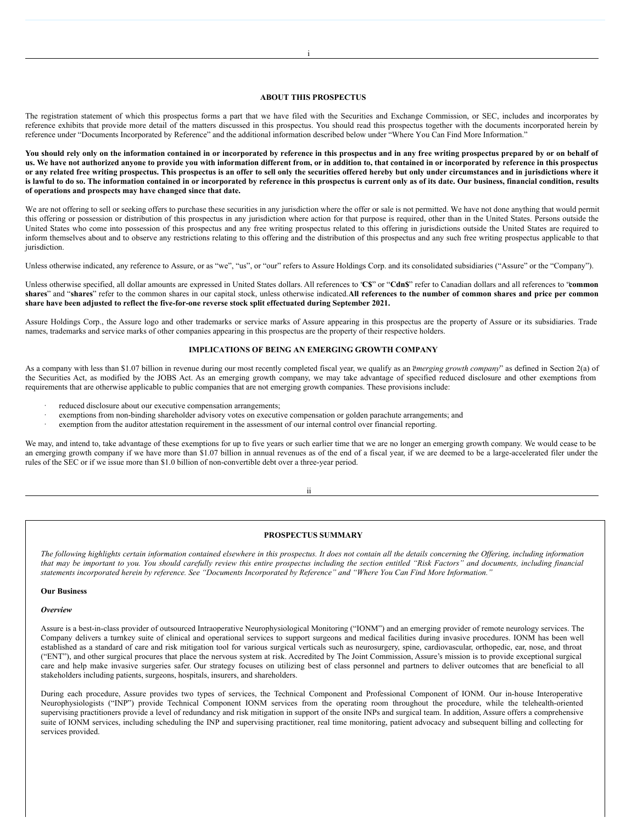## <span id="page-1-0"></span>**ABOUT THIS PROSPECTUS**

The registration statement of which this prospectus forms a part that we have filed with the Securities and Exchange Commission, or SEC, includes and incorporates by reference exhibits that provide more detail of the matters discussed in this prospectus. You should read this prospectus together with the documents incorporated herein by reference under "Documents Incorporated by Reference" and the additional information described below under "Where You Can Find More Information."

You should rely only on the information contained in or incorporated by reference in this prospectus and in any free writing prospectus prepared by or on behalf of us. We have not authorized anyone to provide you with information different from, or in addition to, that contained in or incorporated by reference in this prospectus or any related free writing prospectus. This prospectus is an offer to sell only the securities offered hereby but only under circumstances and in jurisdictions where it is lawful to do so. The information contained in or incorporated by reference in this prospectus is current only as of its date. Our business, financial condition, results **of operations and prospects may have changed since that date.**

We are not offering to sell or seeking offers to purchase these securities in any jurisdiction where the offer or sale is not permitted. We have not done anything that would permit this offering or possession or distribution of this prospectus in any jurisdiction where action for that purpose is required, other than in the United States. Persons outside the United States who come into possession of this prospectus and any free writing prospectus related to this offering in jurisdictions outside the United States are required to inform themselves about and to observe any restrictions relating to this offering and the distribution of this prospectus and any such free writing prospectus applicable to that jurisdiction.

Unless otherwise indicated, any reference to Assure, or as "we", "us", or "our" refers to Assure Holdings Corp. and its consolidated subsidiaries ("Assure" or the "Company").

Unless otherwise specified, all dollar amounts are expressed in United States dollars. All references to "**C\$**" or "**Cdn\$**" refer to Canadian dollars and all references to "**common** shares" and "shares" refer to the common shares in our capital stock, unless otherwise indicated.All references to the number of common shares and price per common **share have been adjusted to reflect the five-for-one reverse stock split effectuated during September 2021.**

Assure Holdings Corp., the Assure logo and other trademarks or service marks of Assure appearing in this prospectus are the property of Assure or its subsidiaries. Trade names, trademarks and service marks of other companies appearing in this prospectus are the property of their respective holders.

## <span id="page-1-1"></span>**IMPLICATIONS OF BEING AN EMERGING GROWTH COMPANY**

As a company with less than \$1.07 billion in revenue during our most recently completed fiscal year, we qualify as an "*emerging growth company*" as defined in Section 2(a) of the Securities Act, as modified by the JOBS Act. As an emerging growth company, we may take advantage of specified reduced disclosure and other exemptions from requirements that are otherwise applicable to public companies that are not emerging growth companies. These provisions include:

- reduced disclosure about our executive compensation arrangements;
- exemptions from non-binding shareholder advisory votes on executive compensation or golden parachute arrangements; and
- exemption from the auditor attestation requirement in the assessment of our internal control over financial reporting.

We may, and intend to, take advantage of these exemptions for up to five years or such earlier time that we are no longer an emerging growth company. We would cease to be an emerging growth company if we have more than \$1.07 billion in annual revenues as of the end of a fiscal year, if we are deemed to be a large-accelerated filer under the rules of the SEC or if we issue more than \$1.0 billion of non-convertible debt over a three-year period.

## ii

#### <span id="page-1-2"></span>**PROSPECTUS SUMMARY**

The following highlights certain information contained elsewhere in this prospectus. It does not contain all the details concerning the Offering, including information that may be important to you. You should carefully review this entire prospectus including the section entitled "Risk Factors" and documents, including financial statements incorporated herein by reference. See "Documents Incorporated by Reference" and "Where You Can Find More Information."

**Our Business**

*Overview*

Assure is a best-in-class provider of outsourced Intraoperative Neurophysiological Monitoring ("IONM") and an emerging provider of remote neurology services. The Company delivers a turnkey suite of clinical and operational services to support surgeons and medical facilities during invasive procedures. IONM has been well established as a standard of care and risk mitigation tool for various surgical verticals such as neurosurgery, spine, cardiovascular, orthopedic, ear, nose, and throat ("ENT"), and other surgical procures that place the nervous system at risk. Accredited by The Joint Commission, Assure's mission is to provide exceptional surgical care and help make invasive surgeries safer. Our strategy focuses on utilizing best of class personnel and partners to deliver outcomes that are beneficial to all stakeholders including patients, surgeons, hospitals, insurers, and shareholders.

During each procedure, Assure provides two types of services, the Technical Component and Professional Component of IONM. Our in-house Interoperative Neurophysiologists ("INP") provide Technical Component IONM services from the operating room throughout the procedure, while the telehealth-oriented supervising practitioners provide a level of redundancy and risk mitigation in support of the onsite INPs and surgical team. In addition, Assure offers a comprehensive suite of IONM services, including scheduling the INP and supervising practitioner, real time monitoring, patient advocacy and subsequent billing and collecting for services provided.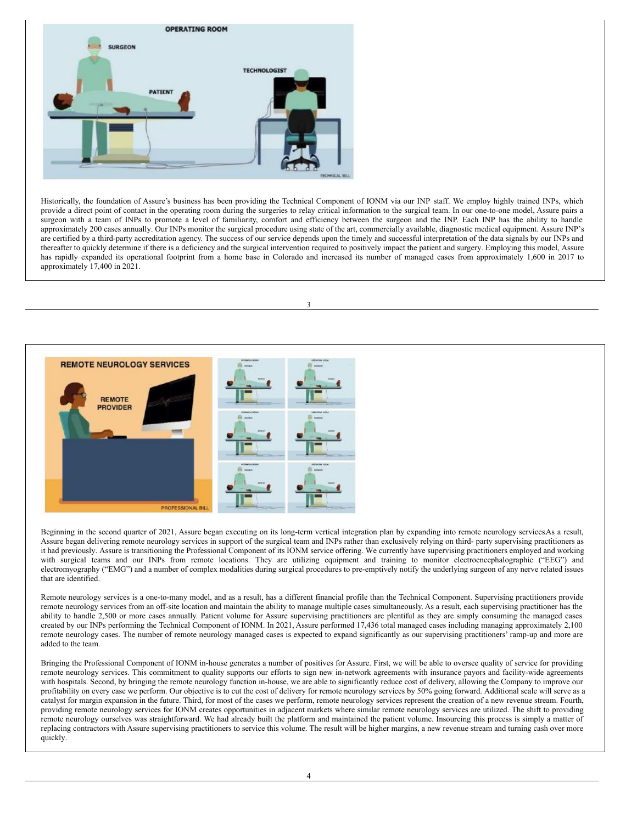

Historically, the foundation of Assure's business has been providing the Technical Component of IONM via our INP staff. We employ highly trained INPs, which provide a direct point of contact in the operating room during the surgeries to relay critical information to the surgical team. In our one-to-one model, Assure pairs a surgeon with a team of INPs to promote a level of familiarity, comfort and efficiency between the surgeon and the INP. Each INP has the ability to handle approximately 200 cases annually. Our INPs monitor the surgical procedure using state of the art, commercially available, diagnostic medical equipment. Assure INP's are certified by a third-party accreditation agency. The success of our service depends upon the timely and successful interpretation of the data signals by our INPs and thereafter to quickly determine if there is a deficiency and the surgical intervention required to positively impact the patient and surgery. Employing this model, Assure has rapidly expanded its operational footprint from a home base in Colorado and increased its number of managed cases from approximately 1,600 in 2017 to approximately 17,400 in 2021.

3



Beginning in the second quarter of 2021, Assure began executing on its long-term vertical integration plan by expanding into remote neurology services As a result, Assure began delivering remote neurology services in support of the surgical team and INPs rather than exclusively relying on third- party supervising practitioners as it had previously. Assure is transitioning the Professional Component of its IONM service offering. We currently have supervising practitioners employed and working with surgical teams and our INPs from remote locations. They are utilizing equipment and training to monitor electroencephalographic ("EEG") and electromyography ("EMG") and a number of complex modalities during surgical procedures to pre-emptively notify the underlying surgeon of any nerve related issues that are identified.

Remote neurology services is a one-to-many model, and as a result, has a different financial profile than the Technical Component. Supervising practitioners provide remote neurology services from an off-site location and maintain the ability to manage multiple cases simultaneously. As a result, each supervising practitioner has the ability to handle 2,500 or more cases annually. Patient volume for Assure supervising practitioners are plentiful as they are simply consuming the managed cases created by our INPs performing the Technical Component of IONM. In 2021, Assure performed 17,436 total managed cases including managing approximately 2,100 remote neurology cases. The number of remote neurology managed cases is expected to expand significantly as our supervising practitioners' ramp-up and more are added to the team.

Bringing the Professional Component of IONM in-house generates a number of positives for Assure. First, we will be able to oversee quality of service for providing remote neurology services. This commitment to quality supports our efforts to sign new in-network agreements with insurance payors and facility-wide agreements with hospitals. Second, by bringing the remote neurology function in-house, we are able to significantly reduce cost of delivery, allowing the Company to improve our profitability on every case we perform. Our objective is to cut the cost of delivery for remote neurology services by 50% going forward. Additional scale will serve as a catalyst for margin expansion in the future. Third, for most of the cases we perform, remote neurology services represent the creation of a new revenue stream. Fourth, providing remote neurology services for IONM creates opportunities in adjacent markets where similar remote neurology services are utilized. The shift to providing remote neurology ourselves was straightforward. We had already built the platform and maintained the patient volume. Insourcing this process is simply a matter of replacing contractors with Assure supervising practitioners to service this volume. The result will be higher margins, a new revenue stream and turning cash over more quickly.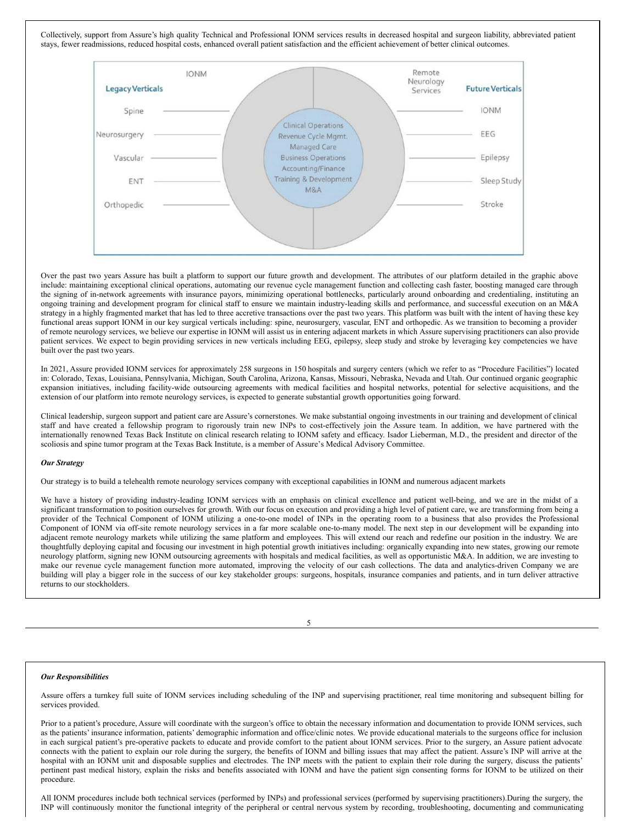Collectively, support from Assure's high quality Technical and Professional IONM services results in decreased hospital and surgeon liability, abbreviated patient stays, fewer readmissions, reduced hospital costs, enhanced overall patient satisfaction and the efficient achievement of better clinical outcomes.



Over the past two years Assure has built a platform to support our future growth and development. The attributes of our platform detailed in the graphic above include: maintaining exceptional clinical operations, automating our revenue cycle management function and collecting cash faster, boosting managed care through the signing of in-network agreements with insurance payors, minimizing operational bottlenecks, particularly around onboarding and credentialing, instituting an ongoing training and development program for clinical staff to ensure we maintain industry-leading skills and performance, and successful execution on an M&A strategy in a highly fragmented market that has led to three accretive transactions over the past two years. This platform was built with the intent of having these key functional areas support IONM in our key surgical verticals including: spine, neurosurgery, vascular, ENT and orthopedic. As we transition to becoming a provider of remote neurology services, we believe our expertise in IONM will assist us in entering adjacent markets in which Assure supervising practitioners can also provide patient services. We expect to begin providing services in new verticals including EEG, epilepsy, sleep study and stroke by leveraging key competencies we have built over the past two years.

In 2021, Assure provided IONM services for approximately 258 surgeons in 150 hospitals and surgery centers (which we refer to as "Procedure Facilities") located in: Colorado, Texas, Louisiana, Pennsylvania, Michigan, South Carolina, Arizona, Kansas, Missouri, Nebraska, Nevada and Utah. Our continued organic geographic expansion initiatives, including facility-wide outsourcing agreements with medical facilities and hospital networks, potential for selective acquisitions, and the extension of our platform into remote neurology services, is expected to generate substantial growth opportunities going forward.

Clinical leadership, surgeon support and patient care are Assure's cornerstones. We make substantial ongoing investments in our training and development of clinical staff and have created a fellowship program to rigorously train new INPs to cost-effectively join the Assure team. In addition, we have partnered with the internationally renowned Texas Back Institute on clinical research relating to IONM safety and efficacy. Isador Lieberman, M.D., the president and director of the scoliosis and spine tumor program at the Texas Back Institute, is a member of Assure's Medical Advisory Committee.

### *Our Strategy*

Our strategy is to build a telehealth remote neurology services company with exceptional capabilities in IONM and numerous adjacent markets

We have a history of providing industry-leading IONM services with an emphasis on clinical excellence and patient well-being, and we are in the midst of a significant transformation to position ourselves for growth. With our focus on execution and providing a high level of patient care, we are transforming from being a provider of the Technical Component of IONM utilizing a one-to-one model of INPs in the operating room to a business that also provides the Professional Component of IONM via off-site remote neurology services in a far more scalable one-to-many model. The next step in our development will be expanding into adjacent remote neurology markets while utilizing the same platform and employees. This will extend our reach and redefine our position in the industry. We are thoughtfully deploying capital and focusing our investment in high potential growth initiatives including: organically expanding into new states, growing our remote neurology platform, signing new IONM outsourcing agreements with hospitals and medical facilities, as well as opportunistic M&A. In addition, we are investing to make our revenue cycle management function more automated, improving the velocity of our cash collections. The data and analytics-driven Company we are building will play a bigger role in the success of our key stakeholder groups: surgeons, hospitals, insurance companies and patients, and in turn deliver attractive returns to our stockholders.

5

#### *Our Responsibilities*

Assure offers a turnkey full suite of IONM services including scheduling of the INP and supervising practitioner, real time monitoring and subsequent billing for services provided.

Prior to a patient's procedure, Assure will coordinate with the surgeon's office to obtain the necessary information and documentation to provide IONM services, such as the patients' insurance information, patients' demographic information and office/clinic notes. We provide educational materials to the surgeons office for inclusion in each surgical patient's pre-operative packets to educate and provide comfort to the patient about IONM services. Prior to the surgery, an Assure patient advocate connects with the patient to explain our role during the surgery, the benefits of IONM and billing issues that may affect the patient. Assure's INP will arrive at the hospital with an IONM unit and disposable supplies and electrodes. The INP meets with the patient to explain their role during the surgery, discuss the patients' pertinent past medical history, explain the risks and benefits associated with IONM and have the patient sign consenting forms for IONM to be utilized on their procedure.

All IONM procedures include both technical services (performed by INPs) and professional services (performed by supervising practitioners).During the surgery, the INP will continuously monitor the functional integrity of the peripheral or central nervous system by recording, troubleshooting, documenting and communicating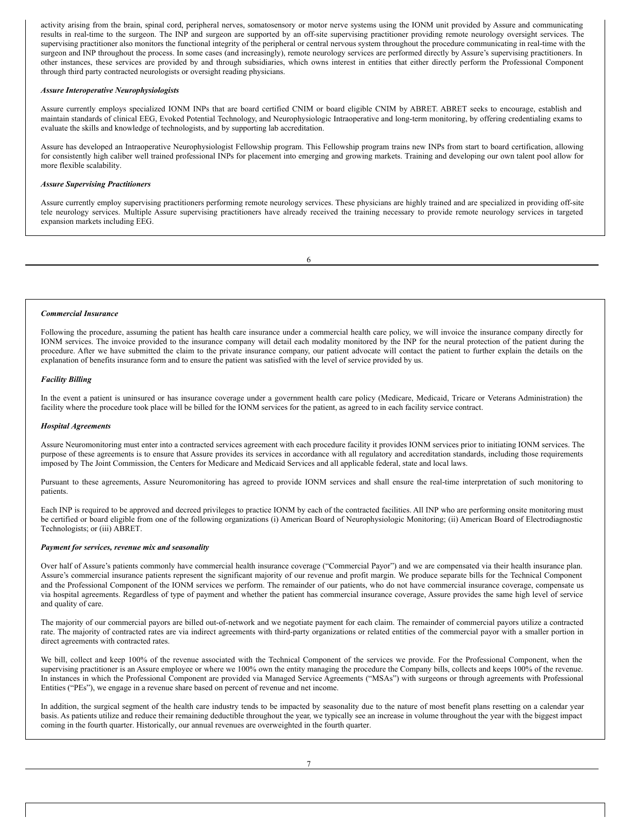activity arising from the brain, spinal cord, peripheral nerves, somatosensory or motor nerve systems using the IONM unit provided by Assure and communicating results in real-time to the surgeon. The INP and surgeon are supported by an off-site supervising practitioner providing remote neurology oversight services. The supervising practitioner also monitors the functional integrity of the peripheral or central nervous system throughout the procedure communicating in real-time with the surgeon and INP throughout the process. In some cases (and increasingly), remote neurology services are performed directly by Assure's supervising practitioners. In other instances, these services are provided by and through subsidiaries, which owns interest in entities that either directly perform the Professional Component through third party contracted neurologists or oversight reading physicians.

## *Assure Interoperative Neurophysiologists*

Assure currently employs specialized IONM INPs that are board certified CNIM or board eligible CNIM by ABRET. ABRET seeks to encourage, establish and maintain standards of clinical EEG, Evoked Potential Technology, and Neurophysiologic Intraoperative and long-term monitoring, by offering credentialing exams to evaluate the skills and knowledge of technologists, and by supporting lab accreditation.

Assure has developed an Intraoperative Neurophysiologist Fellowship program. This Fellowship program trains new INPs from start to board certification, allowing for consistently high caliber well trained professional INPs for placement into emerging and growing markets. Training and developing our own talent pool allow for more flexible scalability.

## *Assure Supervising Practitioners*

Assure currently employ supervising practitioners performing remote neurology services. These physicians are highly trained and are specialized in providing off-site tele neurology services. Multiple Assure supervising practitioners have already received the training necessary to provide remote neurology services in targeted expansion markets including EEG.

6

### *Commercial Insurance*

Following the procedure, assuming the patient has health care insurance under a commercial health care policy, we will invoice the insurance company directly for IONM services. The invoice provided to the insurance company will detail each modality monitored by the INP for the neural protection of the patient during the procedure. After we have submitted the claim to the private insurance company, our patient advocate will contact the patient to further explain the details on the explanation of benefits insurance form and to ensure the patient was satisfied with the level of service provided by us.

### *Facility Billing*

In the event a patient is uninsured or has insurance coverage under a government health care policy (Medicare, Medicaid, Tricare or Veterans Administration) the facility where the procedure took place will be billed for the IONM services for the patient, as agreed to in each facility service contract.

### *Hospital Agreements*

Assure Neuromonitoring must enter into a contracted services agreement with each procedure facility it provides IONM services prior to initiating IONM services. The purpose of these agreements is to ensure that Assure provides its services in accordance with all regulatory and accreditation standards, including those requirements imposed by The Joint Commission, the Centers for Medicare and Medicaid Services and all applicable federal, state and local laws.

Pursuant to these agreements, Assure Neuromonitoring has agreed to provide IONM services and shall ensure the real-time interpretation of such monitoring to patients.

Each INP is required to be approved and decreed privileges to practice IONM by each of the contracted facilities. All INP who are performing onsite monitoring must be certified or board eligible from one of the following organizations (i) American Board of Neurophysiologic Monitoring; (ii) American Board of Electrodiagnostic Technologists; or (iii) ABRET.

### *Payment for services, revenue mix and seasonality*

Over half of Assure's patients commonly have commercial health insurance coverage ("Commercial Payor") and we are compensated via their health insurance plan. Assure's commercial insurance patients represent the significant majority of our revenue and profit margin. We produce separate bills for the Technical Component and the Professional Component of the IONM services we perform. The remainder of our patients, who do not have commercial insurance coverage, compensate us via hospital agreements. Regardless of type of payment and whether the patient has commercial insurance coverage, Assure provides the same high level of service and quality of care.

The majority of our commercial payors are billed out-of-network and we negotiate payment for each claim. The remainder of commercial payors utilize a contracted rate. The majority of contracted rates are via indirect agreements with third-party organizations or related entities of the commercial payor with a smaller portion in direct agreements with contracted rates.

We bill, collect and keep 100% of the revenue associated with the Technical Component of the services we provide. For the Professional Component, when the supervising practitioner is an Assure employee or where we 100% own the entity managing the procedure the Company bills, collects and keeps 100% of the revenue. In instances in which the Professional Component are provided via Managed Service Agreements ("MSAs") with surgeons or through agreements with Professional Entities ("PEs"), we engage in a revenue share based on percent of revenue and net income.

In addition, the surgical segment of the health care industry tends to be impacted by seasonality due to the nature of most benefit plans resetting on a calendar year basis. As patients utilize and reduce their remaining deductible throughout the year, we typically see an increase in volume throughout the year with the biggest impact coming in the fourth quarter. Historically, our annual revenues are overweighted in the fourth quarter.

7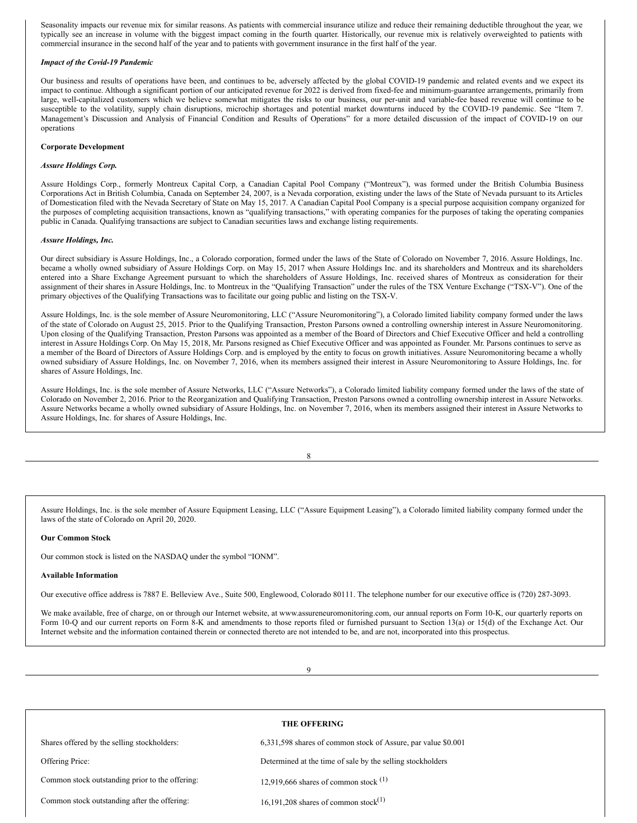Seasonality impacts our revenue mix for similar reasons. As patients with commercial insurance utilize and reduce their remaining deductible throughout the year, we typically see an increase in volume with the biggest impact coming in the fourth quarter. Historically, our revenue mix is relatively overweighted to patients with commercial insurance in the second half of the year and to patients with government insurance in the first half of the year.

### *Impact of the Covid-19 Pandemic*

Our business and results of operations have been, and continues to be, adversely affected by the global COVID-19 pandemic and related events and we expect its impact to continue. Although a significant portion of our anticipated revenue for 2022 is derived from fixed-fee and minimum-guarantee arrangements, primarily from large, well-capitalized customers which we believe somewhat mitigates the risks to our business, our per-unit and variable-fee based revenue will continue to be susceptible to the volatility, supply chain disruptions, microchip shortages and potential market downturns induced by the COVID-19 pandemic. See "Item 7. Management's Discussion and Analysis of Financial Condition and Results of Operations" for a more detailed discussion of the impact of COVID-19 on our operations

### **Corporate Development**

### *Assure Holdings Corp.*

Assure Holdings Corp., formerly Montreux Capital Corp, a Canadian Capital Pool Company ("Montreux"), was formed under the British Columbia Business Corporations Act in British Columbia, Canada on September 24, 2007, is a Nevada corporation, existing under the laws of the State of Nevada pursuant to its Articles of Domestication filed with the Nevada Secretary of State on May 15, 2017. A Canadian Capital Pool Company is a special purpose acquisition company organized for the purposes of completing acquisition transactions, known as "qualifying transactions," with operating companies for the purposes of taking the operating companies public in Canada. Qualifying transactions are subject to Canadian securities laws and exchange listing requirements.

### *Assure Holdings, Inc.*

Our direct subsidiary is Assure Holdings, Inc., a Colorado corporation, formed under the laws of the State of Colorado on November 7, 2016. Assure Holdings, Inc. became a wholly owned subsidiary of Assure Holdings Corp. on May 15, 2017 when Assure Holdings Inc. and its shareholders and Montreux and its shareholders entered into a Share Exchange Agreement pursuant to which the shareholders of Assure Holdings, Inc. received shares of Montreux as consideration for their assignment of their shares in Assure Holdings, Inc. to Montreux in the "Qualifying Transaction" under the rules of the TSX Venture Exchange ("TSX-V"). One of the primary objectives of the Qualifying Transactions was to facilitate our going public and listing on the TSX-V.

Assure Holdings, Inc. is the sole member of Assure Neuromonitoring, LLC ("Assure Neuromonitoring"), a Colorado limited liability company formed under the laws of the state of Colorado on August 25, 2015. Prior to the Qualifying Transaction, Preston Parsons owned a controlling ownership interest in Assure Neuromonitoring. Upon closing of the Qualifying Transaction, Preston Parsons was appointed as a member of the Board of Directors and Chief Executive Officer and held a controlling interest in Assure Holdings Corp. On May 15, 2018, Mr. Parsons resigned as Chief Executive Officer and was appointed as Founder. Mr. Parsons continues to serve as a member of the Board of Directors of Assure Holdings Corp. and is employed by the entity to focus on growth initiatives. Assure Neuromonitoring became a wholly owned subsidiary of Assure Holdings, Inc. on November 7, 2016, when its members assigned their interest in Assure Neuromonitoring to Assure Holdings, Inc. for shares of Assure Holdings, Inc.

Assure Holdings, Inc. is the sole member of Assure Networks, LLC ("Assure Networks"), a Colorado limited liability company formed under the laws of the state of Colorado on November 2, 2016. Prior to the Reorganization and Qualifying Transaction, Preston Parsons owned a controlling ownership interest in Assure Networks. Assure Networks became a wholly owned subsidiary of Assure Holdings, Inc. on November 7, 2016, when its members assigned their interest in Assure Networks to Assure Holdings, Inc. for shares of Assure Holdings, Inc.

8

Assure Holdings, Inc. is the sole member of Assure Equipment Leasing, LLC ("Assure Equipment Leasing"), a Colorado limited liability company formed under the laws of the state of Colorado on April 20, 2020.

### **Our Common Stock**

Our common stock is listed on the NASDAQ under the symbol "IONM".

## **Available Information**

Our executive office address is 7887 E. Belleview Ave., Suite 500, Englewood, Colorado 80111. The telephone number for our executive office is (720) 287-3093.

We make available, free of charge, on or through our Internet website, at www.assureneuromonitoring.com, our annual reports on Form 10-K, our quarterly reports on Form 10-Q and our current reports on Form 8-K and amendments to those reports filed or furnished pursuant to Section 13(a) or 15(d) of the Exchange Act. Our Internet website and the information contained therein or connected thereto are not intended to be, and are not, incorporated into this prospectus.

9

| <b>THE OFFERING</b>                             |                                                               |  |  |  |
|-------------------------------------------------|---------------------------------------------------------------|--|--|--|
| Shares offered by the selling stockholders:     | 6,331,598 shares of common stock of Assure, par value \$0.001 |  |  |  |
| Offering Price:                                 | Determined at the time of sale by the selling stockholders    |  |  |  |
| Common stock outstanding prior to the offering: | 12,919,666 shares of common stock $(1)$                       |  |  |  |
| Common stock outstanding after the offering:    | 16,191,208 shares of common stock <sup>(1)</sup>              |  |  |  |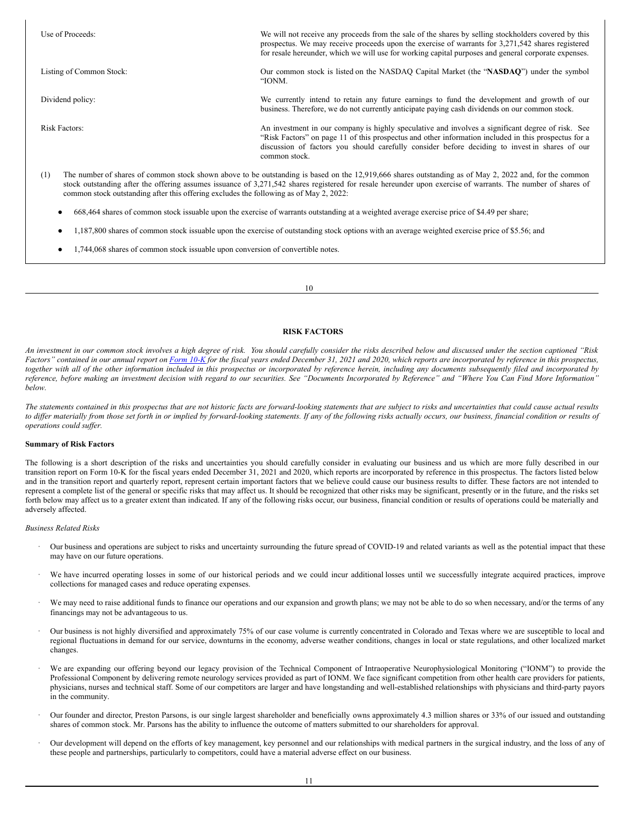| Use of Proceeds:                                                                              | We will not receive any proceeds from the sale of the shares by selling stockholders covered by this<br>prospectus. We may receive proceeds upon the exercise of warrants for 3,271,542 shares registered<br>for resale hereunder, which we will use for working capital purposes and general corporate expenses.            |
|-----------------------------------------------------------------------------------------------|------------------------------------------------------------------------------------------------------------------------------------------------------------------------------------------------------------------------------------------------------------------------------------------------------------------------------|
| Listing of Common Stock:                                                                      | Our common stock is listed on the NASDAQ Capital Market (the "NASDAQ") under the symbol<br>"IONM.                                                                                                                                                                                                                            |
| Dividend policy:                                                                              | We currently intend to retain any future earnings to fund the development and growth of our<br>business. Therefore, we do not currently anticipate paying cash dividends on our common stock.                                                                                                                                |
| <b>Risk Factors:</b>                                                                          | An investment in our company is highly speculative and involves a significant degree of risk. See<br>"Risk Factors" on page 11 of this prospectus and other information included in this prospectus for a<br>discussion of factors you should carefully consider before deciding to invest in shares of our<br>common stock. |
| (1)<br>common stock outstanding after this offering excludes the following as of May 2, 2022: | The number of shares of common stock shown above to be outstanding is based on the 12,919,666 shares outstanding as of May 2, 2022 and, for the common<br>stock outstanding after the offering assumes issuance of 3,271,542 shares registered for resale hereunder upon exercise of warrants. The number of shares of       |
|                                                                                               | 668,464 shares of common stock issuable upon the exercise of warrants outstanding at a weighted average exercise price of \$4.49 per share;                                                                                                                                                                                  |

- 
- 1,187,800 shares of common stock issuable upon the exercise of outstanding stock options with an average weighted exercise price of \$5.56; and
- 1,744,068 shares of common stock issuable upon conversion of convertible notes.

10

## <span id="page-6-0"></span>**RISK FACTORS**

An investment in our common stock involves a high degree of risk. You should carefully consider the risks described below and discussed under the section captioned "Risk Factors" contained in our annual report on [Form](https://www.sec.gov/ix?doc=/Archives/edgar/data/1798270/000155837022003471/ionm-20211231x10k.htm) 10-K for the fiscal years ended December 31, 2021 and 2020, which reports are incorporated by reference in this prospectus, together with all of the other information included in this prospectus or incorporated by reference herein, including any documents subsequently filed and incorporated by reference, before making an investment decision with regard to our securities. See "Documents Incorporated by Reference" and "Where You Can Find More Information" *below.*

The statements contained in this prospectus that are not historic facts are forward-looking statements that are subject to risks and uncertainties that could cause actual results to differ materially from those set forth in or implied by forward-looking statements. If any of the following risks actually occurs, our business, financial condition or results of  $o$ *perations could* suffer.

## **Summary of Risk Factors**

The following is a short description of the risks and uncertainties you should carefully consider in evaluating our business and us which are more fully described in our transition report on Form 10-K for the fiscal years ended December 31, 2021 and 2020, which reports are incorporated by reference in this prospectus. The factors listed below and in the transition report and quarterly report, represent certain important factors that we believe could cause our business results to differ. These factors are not intended to represent a complete list of the general or specific risks that may affect us. It should be recognized that other risks may be significant, presently or in the future, and the risks set forth below may affect us to a greater extent than indicated. If any of the following risks occur, our business, financial condition or results of operations could be materially and adversely affected.

### *Business Related Risks*

- · Our business and operations are subject to risks and uncertainty surrounding the future spread of COVID-19 and related variants as well as the potential impact that these may have on our future operations.
- We have incurred operating losses in some of our historical periods and we could incur additional losses until we successfully integrate acquired practices, improve collections for managed cases and reduce operating expenses.
- We may need to raise additional funds to finance our operations and our expansion and growth plans; we may not be able to do so when necessary, and/or the terms of any financings may not be advantageous to us.
- · Our business is not highly diversified and approximately 75% of our case volume is currently concentrated in Colorado and Texas where we are susceptible to local and regional fluctuations in demand for our service, downturns in the economy, adverse weather conditions, changes in local or state regulations, and other localized market changes.
- We are expanding our offering beyond our legacy provision of the Technical Component of Intraoperative Neurophysiological Monitoring ("IONM") to provide the Professional Component by delivering remote neurology services provided as part of IONM. We face significant competition from other health care providers for patients, physicians, nurses and technical staff. Some of our competitors are larger and have longstanding and well-established relationships with physicians and third-party payors in the community.
- Our founder and director, Preston Parsons, is our single largest shareholder and beneficially owns approximately 4.3 million shares or 33% of our issued and outstanding shares of common stock. Mr. Parsons has the ability to influence the outcome of matters submitted to our shareholders for approval.
- · Our development will depend on the efforts of key management, key personnel and our relationships with medical partners in the surgical industry, and the loss of any of these people and partnerships, particularly to competitors, could have a material adverse effect on our business.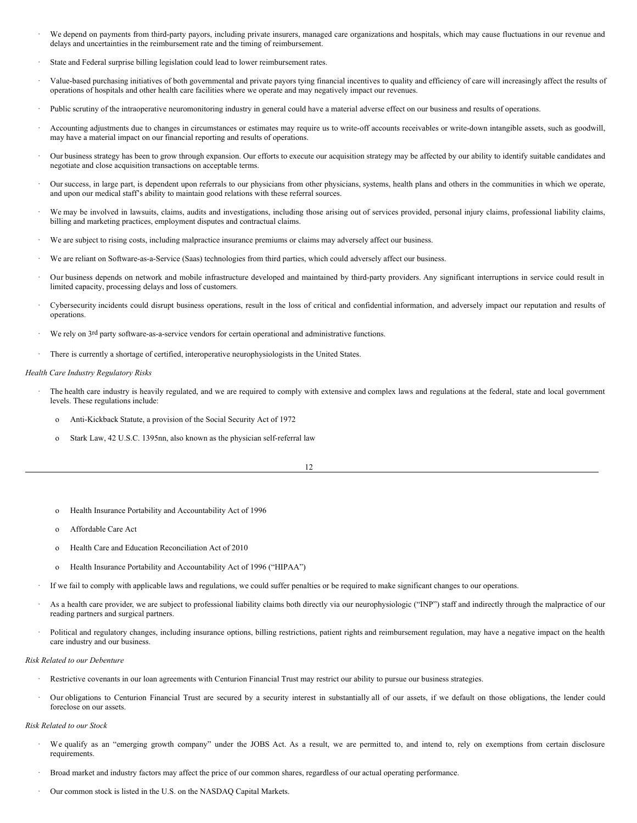- · We depend on payments from third-party payors, including private insurers, managed care organizations and hospitals, which may cause fluctuations in our revenue and delays and uncertainties in the reimbursement rate and the timing of reimbursement.
- State and Federal surprise billing legislation could lead to lower reimbursement rates.
- · Value-based purchasing initiatives of both governmental and private payors tying financial incentives to quality and efficiency of care will increasingly affect the results of operations of hospitals and other health care facilities where we operate and may negatively impact our revenues.
- Public scrutiny of the intraoperative neuromonitoring industry in general could have a material adverse effect on our business and results of operations.
- · Accounting adjustments due to changes in circumstances or estimates may require us to write-off accounts receivables or write-down intangible assets, such as goodwill, may have a material impact on our financial reporting and results of operations.
- Our business strategy has been to grow through expansion. Our efforts to execute our acquisition strategy may be affected by our ability to identify suitable candidates and negotiate and close acquisition transactions on acceptable terms.
- · Our success, in large part, is dependent upon referrals to our physicians from other physicians, systems, health plans and others in the communities in which we operate, and upon our medical staff's ability to maintain good relations with these referral sources.
- We may be involved in lawsuits, claims, audits and investigations, including those arising out of services provided, personal injury claims, professional liability claims, billing and marketing practices, employment disputes and contractual claims.
- We are subject to rising costs, including malpractice insurance premiums or claims may adversely affect our business.
- We are reliant on Software-as-a-Service (Saas) technologies from third parties, which could adversely affect our business.
- · Our business depends on network and mobile infrastructure developed and maintained by third-party providers. Any significant interruptions in service could result in limited capacity, processing delays and loss of customers.
- · Cybersecurity incidents could disrupt business operations, result in the loss of critical and confidential information, and adversely impact our reputation and results of operations.
- We rely on 3rd party software-as-a-service vendors for certain operational and administrative functions.
- There is currently a shortage of certified, interoperative neurophysiologists in the United States.

#### *Health Care Industry Regulatory Risks*

- The health care industry is heavily regulated, and we are required to comply with extensive and complex laws and regulations at the federal, state and local government levels. These regulations include:
	- o Anti-Kickback Statute, a provision of the Social Security Act of 1972
	- o Stark Law, 42 U.S.C. 1395nn, also known as the physician self-referral law

- o Health Insurance Portability and Accountability Act of 1996
- o Affordable Care Act
- o Health Care and Education Reconciliation Act of 2010
- Health Insurance Portability and Accountability Act of 1996 ("HIPAA")
- · If we fail to comply with applicable laws and regulations, we could suffer penalties or be required to make significant changes to our operations.
- As a health care provider, we are subject to professional liability claims both directly via our neurophysiologic ("INP") staff and indirectly through the malpractice of our reading partners and surgical partners.
- Political and regulatory changes, including insurance options, billing restrictions, patient rights and reimbursement regulation, may have a negative impact on the health care industry and our business.

#### *Risk Related to our Debenture*

- Restrictive covenants in our loan agreements with Centurion Financial Trust may restrict our ability to pursue our business strategies.
- · Our obligations to Centurion Financial Trust are secured by a security interest in substantially all of our assets, if we default on those obligations, the lender could foreclose on our assets.

#### *Risk Related to our Stock*

- We qualify as an "emerging growth company" under the JOBS Act. As a result, we are permitted to, and intend to, rely on exemptions from certain disclosure requirements.
- · Broad market and industry factors may affect the price of our common shares, regardless of our actual operating performance.
- Our common stock is listed in the U.S. on the NASDAQ Capital Markets.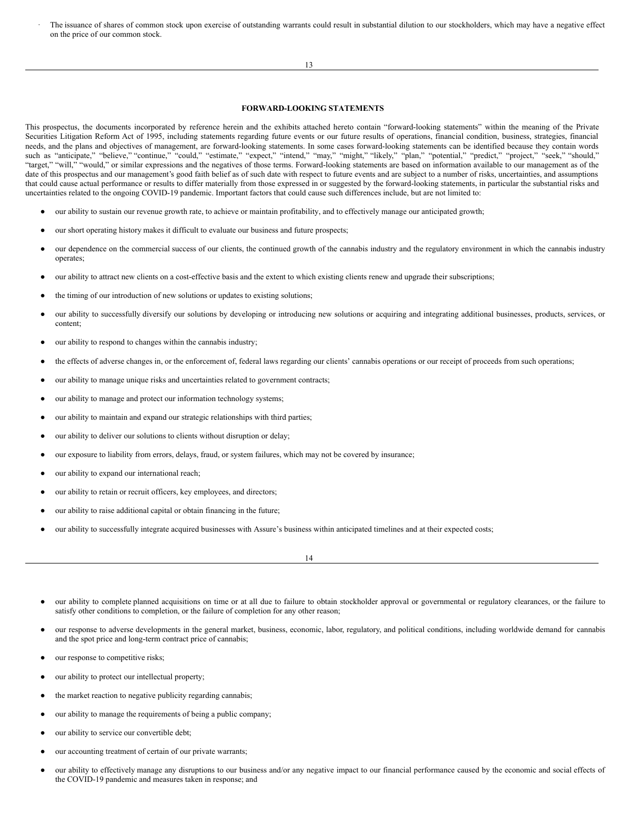The issuance of shares of common stock upon exercise of outstanding warrants could result in substantial dilution to our stockholders, which may have a negative effect on the price of our common stock.

13

## <span id="page-8-0"></span>**FORWARD-LOOKING STATEMENTS**

This prospectus, the documents incorporated by reference herein and the exhibits attached hereto contain "forward-looking statements" within the meaning of the Private Securities Litigation Reform Act of 1995, including statements regarding future events or our future results of operations, financial condition, business, strategies, financial needs, and the plans and objectives of management, are forward-looking statements. In some cases forward-looking statements can be identified because they contain words such as "anticipate," "believe," "continue," "could," "estimate," "expect," "intend," "may," "might," "ikely," "plan," "potential," "predict," "project," "seek," "should," "target," "will," "would," or similar expressions and the negatives of those terms. Forward-looking statements are based on information available to our management as of the date of this prospectus and our management's good faith belief as of such date with respect to future events and are subject to a number of risks, uncertainties, and assumptions that could cause actual performance or results to differ materially from those expressed in or suggested by the forward-looking statements, in particular the substantial risks and uncertainties related to the ongoing COVID-19 pandemic. Important factors that could cause such differences include, but are not limited to:

- our ability to sustain our revenue growth rate, to achieve or maintain profitability, and to effectively manage our anticipated growth;
- our short operating history makes it difficult to evaluate our business and future prospects;
- our dependence on the commercial success of our clients, the continued growth of the cannabis industry and the regulatory environment in which the cannabis industry operates;
- our ability to attract new clients on a cost-effective basis and the extent to which existing clients renew and upgrade their subscriptions;
- the timing of our introduction of new solutions or updates to existing solutions;
- our ability to successfully diversify our solutions by developing or introducing new solutions or acquiring and integrating additional businesses, products, services, or content;
- our ability to respond to changes within the cannabis industry;
- the effects of adverse changes in, or the enforcement of, federal laws regarding our clients' cannabis operations or our receipt of proceeds from such operations;
- our ability to manage unique risks and uncertainties related to government contracts;
- our ability to manage and protect our information technology systems;
- our ability to maintain and expand our strategic relationships with third parties;
- our ability to deliver our solutions to clients without disruption or delay;
- our exposure to liability from errors, delays, fraud, or system failures, which may not be covered by insurance;
- our ability to expand our international reach;
- our ability to retain or recruit officers, key employees, and directors;
- our ability to raise additional capital or obtain financing in the future;
- our ability to successfully integrate acquired businesses with Assure's business within anticipated timelines and at their expected costs;

14

- our ability to complete planned acquisitions on time or at all due to failure to obtain stockholder approval or governmental or regulatory clearances, or the failure to satisfy other conditions to completion, or the failure of completion for any other reason;
- our response to adverse developments in the general market, business, economic, labor, regulatory, and political conditions, including worldwide demand for cannabis and the spot price and long-term contract price of cannabis;
- our response to competitive risks;
- our ability to protect our intellectual property;
- the market reaction to negative publicity regarding cannabis;
- our ability to manage the requirements of being a public company;
- our ability to service our convertible debt;
- our accounting treatment of certain of our private warrants;
- our ability to effectively manage any disruptions to our business and/or any negative impact to our financial performance caused by the economic and social effects of the COVID-19 pandemic and measures taken in response; and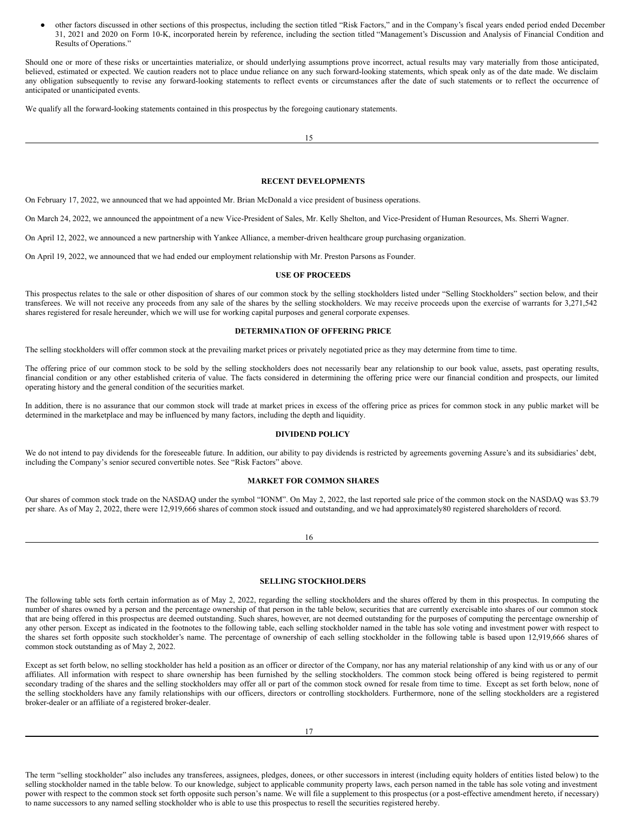other factors discussed in other sections of this prospectus, including the section titled "Risk Factors," and in the Company's fiscal years ended period ended December 31, 2021 and 2020 on Form 10-K, incorporated herein by reference, including the section titled "Management's Discussion and Analysis of Financial Condition and Results of Operations."

Should one or more of these risks or uncertainties materialize, or should underlying assumptions prove incorrect, actual results may vary materially from those anticipated, believed, estimated or expected. We caution readers not to place undue reliance on any such forward-looking statements, which speak only as of the date made. We disclaim any obligation subsequently to revise any forward-looking statements to reflect events or circumstances after the date of such statements or to reflect the occurrence of anticipated or unanticipated events.

We qualify all the forward-looking statements contained in this prospectus by the foregoing cautionary statements.

15

### <span id="page-9-0"></span>**RECENT DEVELOPMENTS**

On February 17, 2022, we announced that we had appointed Mr. Brian McDonald a vice president of business operations.

On March 24, 2022, we announced the appointment of a new Vice-President of Sales, Mr. Kelly Shelton, and Vice-President of Human Resources, Ms. Sherri Wagner.

On April 12, 2022, we announced a new partnership with Yankee Alliance, a member-driven healthcare group purchasing organization.

On April 19, 2022, we announced that we had ended our employment relationship with Mr. Preston Parsons as Founder.

## <span id="page-9-1"></span>**USE OF PROCEEDS**

This prospectus relates to the sale or other disposition of shares of our common stock by the selling stockholders listed under "Selling Stockholders" section below, and their transferees. We will not receive any proceeds from any sale of the shares by the selling stockholders. We may receive proceeds upon the exercise of warrants for 3,271,542 shares registered for resale hereunder, which we will use for working capital purposes and general corporate expenses.

## <span id="page-9-2"></span>**DETERMINATION OF OFFERING PRICE**

The selling stockholders will offer common stock at the prevailing market prices or privately negotiated price as they may determine from time to time.

The offering price of our common stock to be sold by the selling stockholders does not necessarily bear any relationship to our book value, assets, past operating results, financial condition or any other established criteria of value. The facts considered in determining the offering price were our financial condition and prospects, our limited operating history and the general condition of the securities market.

In addition, there is no assurance that our common stock will trade at market prices in excess of the offering price as prices for common stock in any public market will be determined in the marketplace and may be influenced by many factors, including the depth and liquidity.

## <span id="page-9-3"></span>**DIVIDEND POLICY**

We do not intend to pay dividends for the foreseeable future. In addition, our ability to pay dividends is restricted by agreements governing Assure's and its subsidiaries' debt, including the Company's senior secured convertible notes. See "Risk Factors" above.

## <span id="page-9-4"></span>**MARKET FOR COMMON SHARES**

Our shares of common stock trade on the NASDAQ under the symbol "IONM". On May 2, 2022, the last reported sale price of the common stock on the NASDAQ was \$3.79 per share. As of May 2, 2022, there were 12,919,666 shares of common stock issued and outstanding, and we had approximately80 registered shareholders of record.

## <span id="page-9-5"></span>**SELLING STOCKHOLDERS**

The following table sets forth certain information as of May 2, 2022, regarding the selling stockholders and the shares offered by them in this prospectus. In computing the number of shares owned by a person and the percentage ownership of that person in the table below, securities that are currently exercisable into shares of our common stock that are being offered in this prospectus are deemed outstanding. Such shares, however, are not deemed outstanding for the purposes of computing the percentage ownership of any other person. Except as indicated in the footnotes to the following table, each selling stockholder named in the table has sole voting and investment power with respect to the shares set forth opposite such stockholder's name. The percentage of ownership of each selling stockholder in the following table is based upon 12,919,666 shares of common stock outstanding as of May 2, 2022.

Except as set forth below, no selling stockholder has held a position as an officer or director of the Company, nor has any material relationship of any kind with us or any of our affiliates. All information with respect to share ownership has been furnished by the selling stockholders. The common stock being offered is being registered to permit secondary trading of the shares and the selling stockholders may offer all or part of the common stock owned for resale from time to time. Except as set forth below, none of the selling stockholders have any family relationships with our officers, directors or controlling stockholders. Furthermore, none of the selling stockholders are a registered broker-dealer or an affiliate of a registered broker-dealer.

The term "selling stockholder" also includes any transferees, assignees, pledges, donees, or other successors in interest (including equity holders of entities listed below) to the selling stockholder named in the table below. To our knowledge, subject to applicable community property laws, each person named in the table has sole voting and investment power with respect to the common stock set forth opposite such person's name. We will file a supplement to this prospectus (or a post-effective amendment hereto, if necessary) to name successors to any named selling stockholder who is able to use this prospectus to resell the securities registered hereby.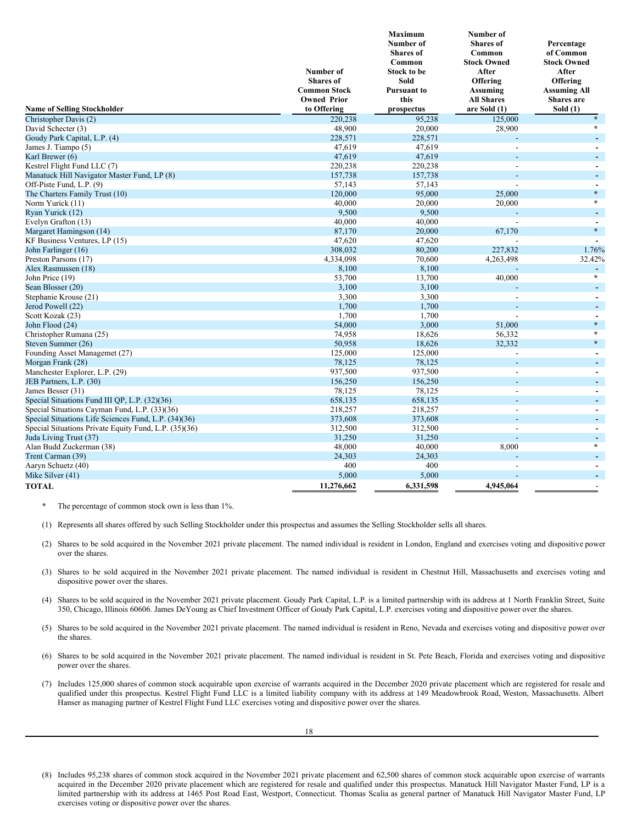| <b>Name of Selling Stockholder</b>                    | <b>Number of</b><br><b>Shares</b> of<br><b>Common Stock</b><br><b>Owned Prior</b><br>to Offering | <b>Maximum</b><br>Number of<br><b>Shares</b> of<br>Common<br><b>Stock to be</b><br>Sold<br><b>Pursuant to</b><br>this<br>prospectus | <b>Number of</b><br><b>Shares</b> of<br>Common<br><b>Stock Owned</b><br>After<br>Offering<br>Assuming<br><b>All Shares</b><br>are Sold (1) | Percentage<br>of Common<br><b>Stock Owned</b><br>After<br>Offering<br><b>Assuming All</b><br>Shares are<br>Sold $(1)$ |
|-------------------------------------------------------|--------------------------------------------------------------------------------------------------|-------------------------------------------------------------------------------------------------------------------------------------|--------------------------------------------------------------------------------------------------------------------------------------------|-----------------------------------------------------------------------------------------------------------------------|
| Christopher Davis (2)                                 | 220,238                                                                                          | 95,238                                                                                                                              | 125,000                                                                                                                                    | $\star$                                                                                                               |
| David Schecter (3)                                    | 48,900                                                                                           | 20,000                                                                                                                              | 28,900                                                                                                                                     | $\star$                                                                                                               |
| Goudy Park Capital, L.P. (4)                          | 228,571                                                                                          | 228,571                                                                                                                             |                                                                                                                                            | $\blacksquare$                                                                                                        |
| James J. Tiampo (5)                                   | 47,619                                                                                           | 47,619                                                                                                                              |                                                                                                                                            | $\blacksquare$                                                                                                        |
| Karl Brewer (6)                                       | 47,619                                                                                           | 47,619                                                                                                                              |                                                                                                                                            | $\blacksquare$                                                                                                        |
| Kestrel Flight Fund LLC (7)                           | 220,238                                                                                          | 220,238                                                                                                                             |                                                                                                                                            | $\overline{\phantom{a}}$                                                                                              |
| Manatuck Hill Navigator Master Fund, LP (8)           | 157,738                                                                                          | 157,738                                                                                                                             |                                                                                                                                            | $\blacksquare$                                                                                                        |
| Off-Piste Fund, L.P. (9)                              | 57,143                                                                                           | 57,143                                                                                                                              |                                                                                                                                            | $\blacksquare$                                                                                                        |
| The Charters Family Trust (10)                        | 120,000                                                                                          | 95,000                                                                                                                              | 25,000                                                                                                                                     | $\star$                                                                                                               |
| Norm Yurick (11)                                      | 40,000                                                                                           | 20,000                                                                                                                              | 20,000                                                                                                                                     | $\star$                                                                                                               |
| Ryan Yurick (12)                                      | 9,500                                                                                            | 9,500                                                                                                                               |                                                                                                                                            | $\blacksquare$                                                                                                        |
| Evelyn Grafton (13)                                   | 40,000                                                                                           | 40,000                                                                                                                              | $\overline{a}$                                                                                                                             | $\blacksquare$                                                                                                        |
| Margaret Hamingson (14)                               | 87,170                                                                                           | 20,000                                                                                                                              | 67,170                                                                                                                                     | $\star$                                                                                                               |
| KF Business Ventures, LP (15)                         | 47,620                                                                                           | 47,620                                                                                                                              |                                                                                                                                            |                                                                                                                       |
| John Farlinger (16)                                   | 308,032                                                                                          | 80,200                                                                                                                              | 227,832                                                                                                                                    | 1.76%                                                                                                                 |
| Preston Parsons (17)                                  | 4,334,098                                                                                        | 70,600                                                                                                                              | 4,263,498                                                                                                                                  | 32.42%                                                                                                                |
| Alex Rasmussen (18)                                   | 8,100                                                                                            | 8,100                                                                                                                               |                                                                                                                                            | $\blacksquare$<br>$\star$                                                                                             |
| John Price (19)                                       | 53,700                                                                                           | 13,700                                                                                                                              | 40,000                                                                                                                                     |                                                                                                                       |
| Sean Blosser (20)                                     | 3,100                                                                                            | 3,100                                                                                                                               |                                                                                                                                            | $\blacksquare$                                                                                                        |
| Stephanie Krouse (21)                                 | 3,300                                                                                            | 3,300                                                                                                                               |                                                                                                                                            | $\blacksquare$                                                                                                        |
| Jerod Powell (22)                                     | 1,700                                                                                            | 1,700                                                                                                                               |                                                                                                                                            | ٠                                                                                                                     |
| Scott Kozak (23)                                      | 1,700<br>54,000                                                                                  | 1,700<br>3,000                                                                                                                      |                                                                                                                                            | $\blacksquare$<br>$\star$                                                                                             |
| John Flood (24)                                       | 74,958                                                                                           |                                                                                                                                     | 51,000                                                                                                                                     | $\star$                                                                                                               |
| Christopher Rumana (25)<br>Steven Summer (26)         | 50,958                                                                                           | 18,626<br>18,626                                                                                                                    | 56,332<br>32.332                                                                                                                           | $\star$                                                                                                               |
|                                                       | 125,000                                                                                          | 125,000                                                                                                                             |                                                                                                                                            | $\blacksquare$                                                                                                        |
| Founding Asset Managemet (27)<br>Morgan Frank (28)    | 78,125                                                                                           | 78,125                                                                                                                              |                                                                                                                                            | ÷.                                                                                                                    |
| Manchester Explorer, L.P. (29)                        | 937,500                                                                                          | 937,500                                                                                                                             |                                                                                                                                            | $\blacksquare$                                                                                                        |
| JEB Partners, L.P. (30)                               | 156,250                                                                                          | 156,250                                                                                                                             |                                                                                                                                            | ÷.                                                                                                                    |
| James Besser (31)                                     | 78,125                                                                                           | 78,125                                                                                                                              |                                                                                                                                            | $\sim$                                                                                                                |
| Special Situations Fund III QP, L.P. (32)(36)         | 658,135                                                                                          | 658,135                                                                                                                             |                                                                                                                                            | ÷.                                                                                                                    |
| Special Situations Cayman Fund, L.P. (33)(36)         | 218,257                                                                                          | 218,257                                                                                                                             |                                                                                                                                            | $\overline{\phantom{a}}$                                                                                              |
| Special Situations Life Sciences Fund, L.P. (34)(36)  | 373,608                                                                                          | 373,608                                                                                                                             |                                                                                                                                            | ÷.                                                                                                                    |
| Special Situations Private Equity Fund, L.P. (35)(36) | 312,500                                                                                          | 312,500                                                                                                                             |                                                                                                                                            | $\blacksquare$                                                                                                        |
| Juda Living Trust (37)                                | 31,250                                                                                           | 31,250                                                                                                                              | ÷                                                                                                                                          | $\blacksquare$                                                                                                        |
| Alan Budd Zuckerman (38)                              | 48,000                                                                                           | 40,000                                                                                                                              | 8,000                                                                                                                                      | $\star$                                                                                                               |
| Trent Carman (39)                                     | 24,303                                                                                           | 24,303                                                                                                                              |                                                                                                                                            | $\blacksquare$                                                                                                        |
| Aaryn Schuetz (40)                                    | 400                                                                                              | 400                                                                                                                                 |                                                                                                                                            | $\blacksquare$                                                                                                        |
| Mike Silver (41)                                      | 5,000                                                                                            | 5,000                                                                                                                               |                                                                                                                                            | $\blacksquare$                                                                                                        |
| <b>TOTAL</b>                                          | 11,276,662                                                                                       | 6,331,598                                                                                                                           | 4,945,064                                                                                                                                  |                                                                                                                       |

The percentage of common stock own is less than 1%.

(1) Represents all shares offered by such Selling Stockholder under this prospectus and assumes the Selling Stockholder sells all shares.

- (2) Shares to be sold acquired in the November 2021 private placement. The named individual is resident in London, England and exercises voting and dispositive power over the shares.
- (3) Shares to be sold acquired in the November 2021 private placement. The named individual is resident in Chestnut Hill, Massachusetts and exercises voting and dispositive power over the shares.
- (4) Shares to be sold acquired in the November 2021 private placement. Goudy Park Capital, L.P. is a limited partnership with its address at 1 North Franklin Street, Suite 350, Chicago, Illinois 60606. James DeYoung as Chief Investment Officer of Goudy Park Capital, L.P. exercises voting and dispositive power over the shares.
- (5) Shares to be sold acquired in the November 2021 private placement. The named individual is resident in Reno, Nevada and exercises voting and dispositive power over the shares.
- (6) Shares to be sold acquired in the November 2021 private placement. The named individual is resident in St. Pete Beach, Florida and exercises voting and dispositive power over the shares.
- (7) Includes 125,000 shares of common stock acquirable upon exercise of warrants acquired in the December 2020 private placement which are registered for resale and qualified under this prospectus. Kestrel Flight Fund LLC is a limited liability company with its address at 149 Meadowbrook Road, Weston, Massachusetts. Albert Hanser as managing partner of Kestrel Flight Fund LLC exercises voting and dispositive power over the shares.

<sup>(8)</sup> Includes 95,238 shares of common stock acquired in the November 2021 private placement and 62,500 shares of common stock acquirable upon exercise of warrants acquired in the December 2020 private placement which are registered for resale and qualified under this prospectus. Manatuck Hill Navigator Master Fund, LP is a limited partnership with its address at 1465 Post Road East, Westport, Connecticut. Thomas Scalia as general partner of Manatuck Hill Navigator Master Fund, LP exercises voting or dispositive power over the shares.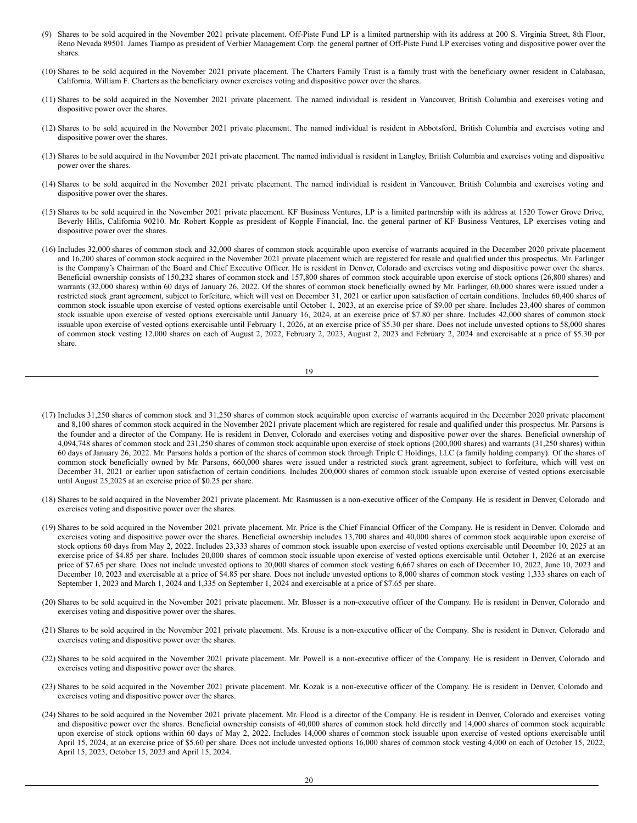- (9) Shares to be sold acquired in the November 2021 private placement. Off-Piste Fund LP is a limited partnership with its address at 200 S. Virginia Street, 8th Floor, Reno Nevada 89501. James Tiampo as president of Verbier Management Corp. the general partner of Off-Piste Fund LP exercises voting and dispositive power over the shares.
- (10) Shares to be sold acquired in the November 2021 private placement. The Charters Family Trust is a family trust with the beneficiary owner resident in Calabasaa, California. William F. Charters as the beneficiary owner exercises voting and dispositive power over the shares.
- (11) Shares to be sold acquired in the November 2021 private placement. The named individual is resident in Vancouver, British Columbia and exercises voting and dispositive power over the shares.
- (12) Shares to be sold acquired in the November 2021 private placement. The named individual is resident in Abbotsford, British Columbia and exercises voting and dispositive power over the shares.
- (13) Shares to be sold acquired in the November 2021 private placement. The named individual is resident in Langley, British Columbia and exercises voting and dispositive power over the shares.
- (14) Shares to be sold acquired in the November 2021 private placement. The named individual is resident in Vancouver, British Columbia and exercises voting and dispositive power over the shares.
- (15) Shares to be sold acquired in the November 2021 private placement. KF Business Ventures, LP is a limited partnership with its address at 1520 Tower Grove Drive, Beverly Hills, California 90210. Mr. Robert Kopple as president of Kopple Financial, Inc. the general partner of KF Business Ventures, LP exercises voting and dispositive power over the shares.
- (16) Includes 32,000 shares of common stock and 32,000 shares of common stock acquirable upon exercise of warrants acquired in the December 2020 private placement and 16,200 shares of common stock acquired in the November 2021 private placement which are registered for resale and qualified under this prospectus. Mr. Farlinger is the Company's Chairman of the Board and Chief Executive Officer. He is resident in Denver, Colorado and exercises voting and dispositive power over the shares. Beneficial ownership consists of 150,232 shares of common stock and 157,800 shares of common stock acquirable upon exercise of stock options (26,800 shares) and warrants (32,000 shares) within 60 days of January 26, 2022. Of the shares of common stock beneficially owned by Mr. Farlinger, 60,000 shares were issued under a restricted stock grant agreement, subject to forfeiture, which will vest on December 31, 2021 or earlier upon satisfaction of certain conditions. Includes 60,400 shares of common stock issuable upon exercise of vested options exercisable until October 1, 2023, at an exercise price of \$9.00 per share. Includes 23,400 shares of common stock issuable upon exercise of vested options exercisable until January 16, 2024, at an exercise price of \$7.80 per share. Includes 42,000 shares of common stock issuable upon exercise of vested options exercisable until February 1, 2026, at an exercise price of \$5.30 per share. Does not include unvested options to 58,000 shares of common stock vesting 12,000 shares on each of August 2, 2022, February 2, 2023, August 2, 2023 and February 2, 2024 and exercisable at a price of \$5.30 per share.

$$
19\quad
$$

- (17) Includes 31,250 shares of common stock and 31,250 shares of common stock acquirable upon exercise of warrants acquired in the December 2020 private placement and 8,100 shares of common stock acquired in the November 2021 private placement which are registered for resale and qualified under this prospectus. Mr. Parsons is the founder and a director of the Company. He is resident in Denver, Colorado and exercises voting and dispositive power over the shares. Beneficial ownership of 4,094,748 shares of common stock and 231,250 shares of common stock acquirable upon exercise of stock options (200,000 shares) and warrants (31,250 shares) within 60 days of January 26, 2022. Mr. Parsons holds a portion of the shares of common stock through Triple C Holdings, LLC (a family holding company). Of the shares of common stock beneficially owned by Mr. Parsons, 660,000 shares were issued under a restricted stock grant agreement, subject to forfeiture, which will vest on December 31, 2021 or earlier upon satisfaction of certain conditions. Includes 200,000 shares of common stock issuable upon exercise of vested options exercisable until August 25,2025 at an exercise price of \$0.25 per share.
- (18) Shares to be sold acquired in the November 2021 private placement. Mr. Rasmussen is a non-executive officer of the Company. He is resident in Denver, Colorado and exercises voting and dispositive power over the shares.
- (19) Shares to be sold acquired in the November 2021 private placement. Mr. Price is the Chief Financial Officer of the Company. He is resident in Denver, Colorado and exercises voting and dispositive power over the shares. Beneficial ownership includes 13,700 shares and 40,000 shares of common stock acquirable upon exercise of stock options 60 days from May 2, 2022. Includes 23,333 shares of common stock issuable upon exercise of vested options exercisable until December 10, 2025 at an exercise price of \$4.85 per share. Includes 20,000 shares of common stock issuable upon exercise of vested options exercisable until October 1, 2026 at an exercise price of \$7.65 per share. Does not include unvested options to 20,000 shares of common stock vesting 6,667 shares on each of December 10, 2022, June 10, 2023 and December 10, 2023 and exercisable at a price of \$4.85 per share. Does not include unvested options to 8,000 shares of common stock vesting 1,333 shares on each of September 1, 2023 and March 1, 2024 and 1,335 on September 1, 2024 and exercisable at a price of \$7.65 per share.
- (20) Shares to be sold acquired in the November 2021 private placement. Mr. Blosser is a non-executive officer of the Company. He is resident in Denver, Colorado and exercises voting and dispositive power over the shares.
- (21) Shares to be sold acquired in the November 2021 private placement. Ms. Krouse is a non-executive officer of the Company. She is resident in Denver, Colorado and exercises voting and dispositive power over the shares.
- (22) Shares to be sold acquired in the November 2021 private placement. Mr. Powell is a non-executive officer of the Company. He is resident in Denver, Colorado and exercises voting and dispositive power over the shares.
- (23) Shares to be sold acquired in the November 2021 private placement. Mr. Kozak is a non-executive officer of the Company. He is resident in Denver, Colorado and exercises voting and dispositive power over the shares.
- (24) Shares to be sold acquired in the November 2021 private placement. Mr. Flood is a director of the Company. He is resident in Denver, Colorado and exercises voting and dispositive power over the shares. Beneficial ownership consists of 40,000 shares of common stock held directly and 14,000 shares of common stock acquirable upon exercise of stock options within 60 days of May 2, 2022. Includes 14,000 shares of common stock issuable upon exercise of vested options exercisable until April 15, 2024, at an exercise price of \$5.60 per share. Does not include unvested options 16,000 shares of common stock vesting 4,000 on each of October 15, 2022, April 15, 2023, October 15, 2023 and April 15, 2024.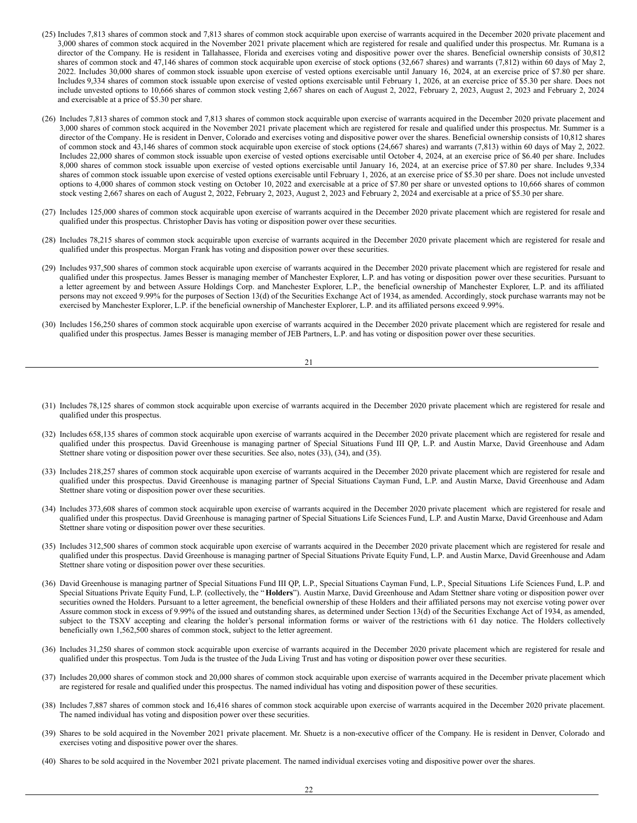- (25) Includes 7,813 shares of common stock and 7,813 shares of common stock acquirable upon exercise of warrants acquired in the December 2020 private placement and 3,000 shares of common stock acquired in the November 2021 private placement which are registered for resale and qualified under this prospectus. Mr. Rumana is a director of the Company. He is resident in Tallahassee, Florida and exercises voting and dispositive power over the shares. Beneficial ownership consists of 30,812 shares of common stock and 47,146 shares of common stock acquirable upon exercise of stock options (32,667 shares) and warrants (7,812) within 60 days of May 2, 2022. Includes 30,000 shares of common stock issuable upon exercise of vested options exercisable until January 16, 2024, at an exercise price of \$7.80 per share. Includes 9,334 shares of common stock issuable upon exercise of vested options exercisable until February 1, 2026, at an exercise price of \$5.30 per share. Does not include unvested options to 10,666 shares of common stock vesting 2,667 shares on each of August 2, 2022, February 2, 2023, August 2, 2023 and February 2, 2024 and exercisable at a price of \$5.30 per share.
- (26) Includes 7,813 shares of common stock and 7,813 shares of common stock acquirable upon exercise of warrants acquired in the December 2020 private placement and 3,000 shares of common stock acquired in the November 2021 private placement which are registered for resale and qualified under this prospectus. Mr. Summer is a director of the Company. He is resident in Denver, Colorado and exercises voting and dispositive power over the shares. Beneficial ownership consists of 10,812 shares of common stock and 43,146 shares of common stock acquirable upon exercise of stock options (24,667 shares) and warrants (7,813) within 60 days of May 2, 2022. Includes 22,000 shares of common stock issuable upon exercise of vested options exercisable until October 4, 2024, at an exercise price of \$6.40 per share. Includes 8,000 shares of common stock issuable upon exercise of vested options exercisable until January 16, 2024, at an exercise price of \$7.80 per share. Includes 9,334 shares of common stock issuable upon exercise of vested options exercisable until February 1, 2026, at an exercise price of \$5.30 per share. Does not include unvested options to 4,000 shares of common stock vesting on October 10, 2022 and exercisable at a price of \$7.80 per share or unvested options to 10,666 shares of common stock vesting 2,667 shares on each of August 2, 2022, February 2, 2023, August 2, 2023 and February 2, 2024 and exercisable at a price of \$5.30 per share.
- (27) Includes 125,000 shares of common stock acquirable upon exercise of warrants acquired in the December 2020 private placement which are registered for resale and qualified under this prospectus. Christopher Davis has voting or disposition power over these securities.
- (28) Includes 78,215 shares of common stock acquirable upon exercise of warrants acquired in the December 2020 private placement which are registered for resale and qualified under this prospectus. Morgan Frank has voting and disposition power over these securities.
- (29) Includes 937,500 shares of common stock acquirable upon exercise of warrants acquired in the December 2020 private placement which are registered for resale and qualified under this prospectus. James Besser is managing member of Manchester Explorer, L.P. and has voting or disposition power over these securities. Pursuant to a letter agreement by and between Assure Holdings Corp. and Manchester Explorer, L.P., the beneficial ownership of Manchester Explorer, L.P. and its affiliated persons may not exceed 9.99% for the purposes of Section 13(d) of the Securities Exchange Act of 1934, as amended. Accordingly, stock purchase warrants may not be exercised by Manchester Explorer, L.P. if the beneficial ownership of Manchester Explorer, L.P. and its affiliated persons exceed 9.99%.
- (30) Includes 156,250 shares of common stock acquirable upon exercise of warrants acquired in the December 2020 private placement which are registered for resale and qualified under this prospectus. James Besser is managing member of JEB Partners, L.P. and has voting or disposition power over these securities.

| I |  |
|---|--|

- (31) Includes 78,125 shares of common stock acquirable upon exercise of warrants acquired in the December 2020 private placement which are registered for resale and qualified under this prospectus.
- (32) Includes 658,135 shares of common stock acquirable upon exercise of warrants acquired in the December 2020 private placement which are registered for resale and qualified under this prospectus. David Greenhouse is managing partner of Special Situations Fund III QP, L.P. and Austin Marxe, David Greenhouse and Adam Stettner share voting or disposition power over these securities. See also, notes (33), (34), and (35).
- (33) Includes 218,257 shares of common stock acquirable upon exercise of warrants acquired in the December 2020 private placement which are registered for resale and qualified under this prospectus. David Greenhouse is managing partner of Special Situations Cayman Fund, L.P. and Austin Marxe, David Greenhouse and Adam Stettner share voting or disposition power over these securities.
- (34) Includes 373,608 shares of common stock acquirable upon exercise of warrants acquired in the December 2020 private placement which are registered for resale and qualified under this prospectus. David Greenhouse is managing partner of Special Situations Life Sciences Fund, L.P. and Austin Marxe, David Greenhouse and Adam Stettner share voting or disposition power over these securities.
- (35) Includes 312,500 shares of common stock acquirable upon exercise of warrants acquired in the December 2020 private placement which are registered for resale and qualified under this prospectus. David Greenhouse is managing partner of Special Situations Private Equity Fund, L.P. and Austin Marxe, David Greenhouse and Adam Stettner share voting or disposition power over these securities.
- (36) David Greenhouse is managing partner of Special Situations Fund III QP, L.P., Special Situations Cayman Fund, L.P., Special Situations Life Sciences Fund, L.P. and Special Situations Private Equity Fund, L.P. (collectively, the "**Holders**"). Austin Marxe, David Greenhouse and Adam Stettner share voting or disposition power over securities owned the Holders. Pursuant to a letter agreement, the beneficial ownership of these Holders and their affiliated persons may not exercise voting power over Assure common stock in excess of 9.99% of the issued and outstanding shares, as determined under Section 13(d) of the Securities Exchange Act of 1934, as amended, subject to the TSXV accepting and clearing the holder's personal information forms or waiver of the restrictions with 61 day notice. The Holders collectively beneficially own 1,562,500 shares of common stock, subject to the letter agreement.
- (36) Includes 31,250 shares of common stock acquirable upon exercise of warrants acquired in the December 2020 private placement which are registered for resale and qualified under this prospectus. Tom Juda is the trustee of the Juda Living Trust and has voting or disposition power over these securities.
- (37) Includes 20,000 shares of common stock and 20,000 shares of common stock acquirable upon exercise of warrants acquired in the December private placement which are registered for resale and qualified under this prospectus. The named individual has voting and disposition power of these securities.
- (38) Includes 7,887 shares of common stock and 16,416 shares of common stock acquirable upon exercise of warrants acquired in the December 2020 private placement. The named individual has voting and disposition power over these securities.
- (39) Shares to be sold acquired in the November 2021 private placement. Mr. Shuetz is a non-executive officer of the Company. He is resident in Denver, Colorado and exercises voting and dispositive power over the shares.
- (40) Shares to be sold acquired in the November 2021 private placement. The named individual exercises voting and dispositive power over the shares.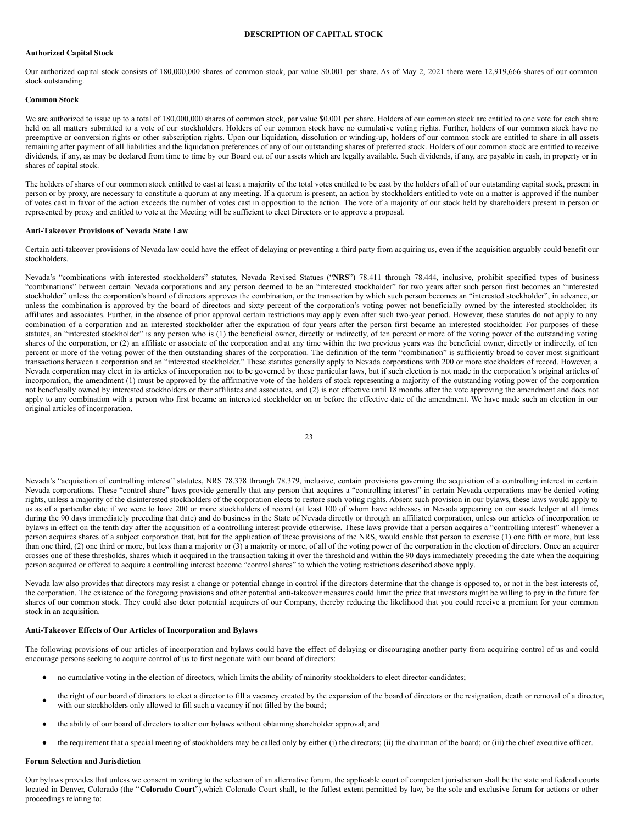## <span id="page-13-0"></span>**DESCRIPTION OF CAPITAL STOCK**

### **Authorized Capital Stock**

Our authorized capital stock consists of 180,000,000 shares of common stock, par value \$0.001 per share. As of May 2, 2021 there were 12,919,666 shares of our common stock outstanding.

### **Common Stock**

We are authorized to issue up to a total of 180,000,000 shares of common stock, par value \$0.001 per share. Holders of our common stock are entitled to one vote for each share held on all matters submitted to a vote of our stockholders. Holders of our common stock have no cumulative voting rights. Further, holders of our common stock have no preemptive or conversion rights or other subscription rights. Upon our liquidation, dissolution or winding-up, holders of our common stock are entitled to share in all assets remaining after payment of all liabilities and the liquidation preferences of any of our outstanding shares of preferred stock. Holders of our common stock are entitled to receive dividends, if any, as may be declared from time to time by our Board out of our assets which are legally available. Such dividends, if any, are payable in cash, in property or in shares of capital stock.

The holders of shares of our common stock entitled to cast at least a majority of the total votes entitled to be cast by the holders of all of our outstanding capital stock, present in person or by proxy, are necessary to constitute a quorum at any meeting. If a quorum is present, an action by stockholders entitled to vote on a matter is approved if the number of votes cast in favor of the action exceeds the number of votes cast in opposition to the action. The vote of a majority of our stock held by shareholders present in person or represented by proxy and entitled to vote at the Meeting will be sufficient to elect Directors or to approve a proposal.

### **Anti-Takeover Provisions of Nevada State Law**

Certain anti-takeover provisions of Nevada law could have the effect of delaying or preventing a third party from acquiring us, even if the acquisition arguably could benefit our stockholders.

Nevada's "combinations with interested stockholders" statutes, Nevada Revised Statues ("**NRS**") 78.411 through 78.444, inclusive, prohibit specified types of business "combinations" between certain Nevada corporations and any person deemed to be an "interested stockholder" for two years after such person first becomes an "interested stockholder" unless the corporation's board of directors approves the combination, or the transaction by which such person becomes an "interested stockholder", in advance, or unless the combination is approved by the board of directors and sixty percent of the corporation's voting power not beneficially owned by the interested stockholder, its affiliates and associates. Further, in the absence of prior approval certain restrictions may apply even after such two-year period. However, these statutes do not apply to any combination of a corporation and an interested stockholder after the expiration of four years after the person first became an interested stockholder. For purposes of these statutes, an "interested stockholder" is any person who is (1) the beneficial owner, directly or indirectly, of ten percent or more of the voting power of the outstanding voting shares of the corporation, or (2) an affiliate or associate of the corporation and at any time within the two previous years was the beneficial owner, directly or indirectly, of ten percent or more of the voting power of the then outstanding shares of the corporation. The definition of the term "combination" is sufficiently broad to cover most significant transactions between a corporation and an "interested stockholder." These statutes generally apply to Nevada corporations with 200 or more stockholders of record. However, a Nevada corporation may elect in its articles of incorporation not to be governed by these particular laws, but if such election is not made in the corporation's original articles of incorporation, the amendment (1) must be approved by the affirmative vote of the holders of stock representing a majority of the outstanding voting power of the corporation not beneficially owned by interested stockholders or their affiliates and associates, and (2) is not effective until 18 months after the vote approving the amendment and does not apply to any combination with a person who first became an interested stockholder on or before the effective date of the amendment. We have made such an election in our original articles of incorporation.

23

Nevada's "acquisition of controlling interest" statutes, NRS 78.378 through 78.379, inclusive, contain provisions governing the acquisition of a controlling interest in certain Nevada corporations. These "control share" laws provide generally that any person that acquires a "controlling interest" in certain Nevada corporations may be denied voting rights, unless a majority of the disinterested stockholders of the corporation elects to restore such voting rights. Absent such provision in our bylaws, these laws would apply to us as of a particular date if we were to have 200 or more stockholders of record (at least 100 of whom have addresses in Nevada appearing on our stock ledger at all times during the 90 days immediately preceding that date) and do business in the State of Nevada directly or through an affiliated corporation, unless our articles of incorporation or bylaws in effect on the tenth day after the acquisition of a controlling interest provide otherwise. These laws provide that a person acquires a "controlling interest" whenever a person acquires shares of a subject corporation that, but for the application of these provisions of the NRS, would enable that person to exercise (1) one fifth or more, but less than one third, (2) one third or more, but less than a majority or (3) a majority or more, of all of the voting power of the corporation in the election of directors. Once an acquirer crosses one of these thresholds, shares which it acquired in the transaction taking it over the threshold and within the 90 days immediately preceding the date when the acquiring person acquired or offered to acquire a controlling interest become "control shares" to which the voting restrictions described above apply.

Nevada law also provides that directors may resist a change or potential change in control if the directors determine that the change is opposed to, or not in the best interests of, the corporation. The existence of the foregoing provisions and other potential anti-takeover measures could limit the price that investors might be willing to pay in the future for shares of our common stock. They could also deter potential acquirers of our Company, thereby reducing the likelihood that you could receive a premium for your common stock in an acquisition.

## **Anti-Takeover Effects of Our Articles of Incorporation and Bylaws**

The following provisions of our articles of incorporation and bylaws could have the effect of delaying or discouraging another party from acquiring control of us and could encourage persons seeking to acquire control of us to first negotiate with our board of directors:

- no cumulative voting in the election of directors, which limits the ability of minority stockholders to elect director candidates;
- the right of our board of directors to elect a director to fill a vacancy created by the expansion of the board of directors or the resignation, death or removal of a director, with our stockholders only allowed to fill such a vacancy if not filled by the board;
- the ability of our board of directors to alter our bylaws without obtaining shareholder approval; and
- the requirement that a special meeting of stockholders may be called only by either (i) the directors; (ii) the chairman of the board; or (iii) the chief executive officer.

## **Forum Selection and Jurisdiction**

Our bylaws provides that unless we consent in writing to the selection of an alternative forum, the applicable court of competent jurisdiction shall be the state and federal courts located in Denver, Colorado (the "**Colorado Court**"),which Colorado Court shall, to the fullest extent permitted by law, be the sole and exclusive forum for actions or other proceedings relating to: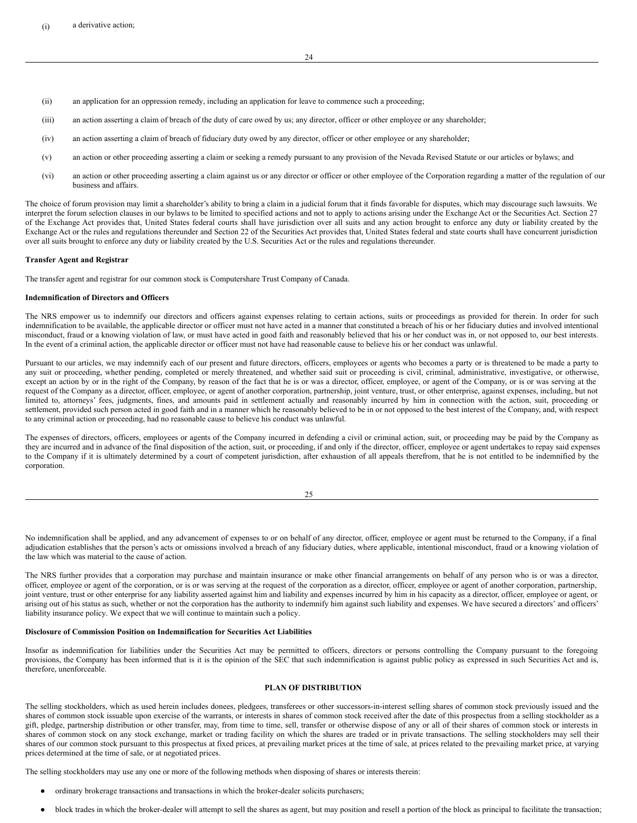- (ii) an application for an oppression remedy, including an application for leave to commence such a proceeding;
- (iii) an action asserting a claim of breach of the duty of care owed by us; any director, officer or other employee or any shareholder;
- (iv) an action asserting a claim of breach of fiduciary duty owed by any director, officer or other employee or any shareholder;
- (v) an action or other proceeding asserting a claim or seeking a remedy pursuant to any provision of the Nevada Revised Statute or our articles or bylaws; and
- (vi) an action or other proceeding asserting a claim against us or any director or officer or other employee of the Corporation regarding a matter of the regulation of our business and affairs.

The choice of forum provision may limit a shareholder's ability to bring a claim in a judicial forum that it finds favorable for disputes, which may discourage such lawsuits. We interpret the forum selection clauses in our bylaws to be limited to specified actions and not to apply to actions arising under the Exchange Act or the Securities Act. Section 27 of the Exchange Act provides that, United States federal courts shall have jurisdiction over all suits and any action brought to enforce any duty or liability created by the Exchange Act or the rules and regulations thereunder and Section 22 of the Securities Act provides that, United States federal and state courts shall have concurrent jurisdiction over all suits brought to enforce any duty or liability created by the U.S. Securities Act or the rules and regulations thereunder.

#### **Transfer Agent and Registrar**

The transfer agent and registrar for our common stock is Computershare Trust Company of Canada.

### **Indemnification of Directors and Officers**

The NRS empower us to indemnify our directors and officers against expenses relating to certain actions, suits or proceedings as provided for therein. In order for such indemnification to be available, the applicable director or officer must not have acted in a manner that constituted a breach of his or her fiduciary duties and involved intentional misconduct, fraud or a knowing violation of law, or must have acted in good faith and reasonably believed that his or her conduct was in, or not opposed to, our best interests. In the event of a criminal action, the applicable director or officer must not have had reasonable cause to believe his or her conduct was unlawful.

Pursuant to our articles, we may indemnify each of our present and future directors, officers, employees or agents who becomes a party or is threatened to be made a party to any suit or proceeding, whether pending, completed or merely threatened, and whether said suit or proceeding is civil, criminal, administrative, investigative, or otherwise, except an action by or in the right of the Company, by reason of the fact that he is or was a director, officer, employee, or agent of the Company, or is or was serving at the request of the Company as a director, officer, employee, or agent of another corporation, partnership, joint venture, trust, or other enterprise, against expenses, including, but not limited to, attorneys' fees, judgments, fines, and amounts paid in settlement actually and reasonably incurred by him in connection with the action, suit, proceeding or settlement, provided such person acted in good faith and in a manner which he reasonably believed to be in or not opposed to the best interest of the Company, and, with respect to any criminal action or proceeding, had no reasonable cause to believe his conduct was unlawful.

The expenses of directors, officers, employees or agents of the Company incurred in defending a civil or criminal action, suit, or proceeding may be paid by the Company as they are incurred and in advance of the final disposition of the action, suit, or proceeding, if and only if the director, officer, employee or agent undertakes to repay said expenses to the Company if it is ultimately determined by a court of competent jurisdiction, after exhaustion of all appeals therefrom, that he is not entitled to be indemnified by the corporation.

25

No indemnification shall be applied, and any advancement of expenses to or on behalf of any director, officer, employee or agent must be returned to the Company, if a final adjudication establishes that the person's acts or omissions involved a breach of any fiduciary duties, where applicable, intentional misconduct, fraud or a knowing violation of the law which was material to the cause of action.

The NRS further provides that a corporation may purchase and maintain insurance or make other financial arrangements on behalf of any person who is or was a director, officer, employee or agent of the corporation, or is or was serving at the request of the corporation as a director, officer, employee or agent of another corporation, partnership, joint venture, trust or other enterprise for any liability asserted against him and liability and expenses incurred by him in his capacity as a director, officer, employee or agent, or arising out of his status as such, whether or not the corporation has the authority to indemnify him against such liability and expenses. We have secured a directors' and officers' liability insurance policy. We expect that we will continue to maintain such a policy.

## **Disclosure of Commission Position on Indemnification for Securities Act Liabilities**

Insofar as indemnification for liabilities under the Securities Act may be permitted to officers, directors or persons controlling the Company pursuant to the foregoing provisions, the Company has been informed that is it is the opinion of the SEC that such indemnification is against public policy as expressed in such Securities Act and is, therefore, unenforceable.

#### <span id="page-14-0"></span>**PLAN OF DISTRIBUTION**

The selling stockholders, which as used herein includes donees, pledgees, transferees or other successors-in-interest selling shares of common stock previously issued and the shares of common stock issuable upon exercise of the warrants, or interests in shares of common stock received after the date of this prospectus from a selling stockholder as a gift, pledge, partnership distribution or other transfer, may, from time to time, sell, transfer or otherwise dispose of any or all of their shares of common stock or interests in shares of common stock on any stock exchange, market or trading facility on which the shares are traded or in private transactions. The selling stockholders may sell their shares of our common stock pursuant to this prospectus at fixed prices, at prevailing market prices at the time of sale, at prices related to the prevailing market price, at varying prices determined at the time of sale, or at negotiated prices.

The selling stockholders may use any one or more of the following methods when disposing of shares or interests therein:

- ordinary brokerage transactions and transactions in which the broker-dealer solicits purchasers;
- block trades in which the broker-dealer will attempt to sell the shares as agent, but may position and resell a portion of the block as principal to facilitate the transaction;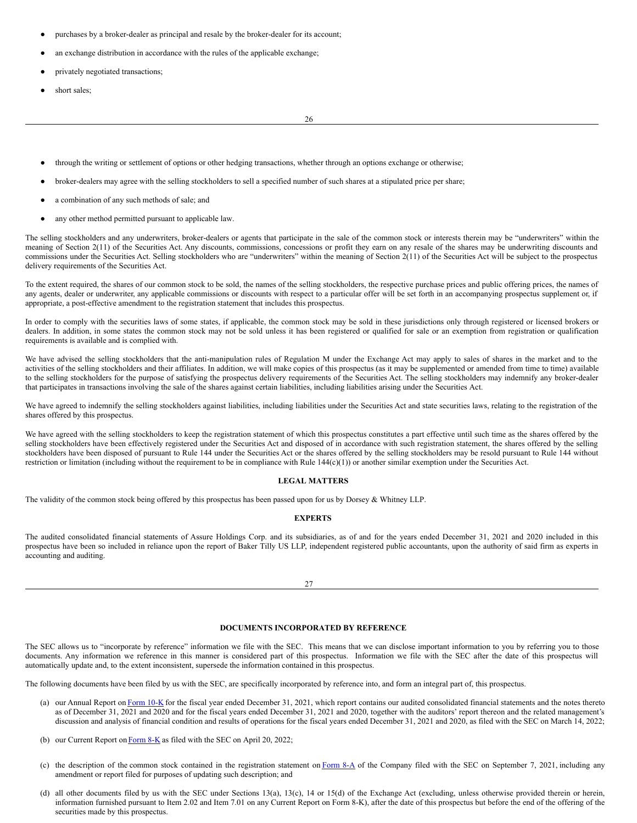- purchases by a broker-dealer as principal and resale by the broker-dealer for its account;
- an exchange distribution in accordance with the rules of the applicable exchange;
- privately negotiated transactions;
- short sales;

26

- through the writing or settlement of options or other hedging transactions, whether through an options exchange or otherwise;
- broker-dealers may agree with the selling stockholders to sell a specified number of such shares at a stipulated price per share;
- a combination of any such methods of sale; and
- any other method permitted pursuant to applicable law.

The selling stockholders and any underwriters, broker-dealers or agents that participate in the sale of the common stock or interests therein may be "underwriters" within the meaning of Section 2(11) of the Securities Act. Any discounts, commissions, concessions or profit they earn on any resale of the shares may be underwriting discounts and commissions under the Securities Act. Selling stockholders who are "underwriters" within the meaning of Section  $2(11)$  of the Securities Act will be subject to the prospectus delivery requirements of the Securities Act.

To the extent required, the shares of our common stock to be sold, the names of the selling stockholders, the respective purchase prices and public offering prices, the names of any agents, dealer or underwriter, any applicable commissions or discounts with respect to a particular offer will be set forth in an accompanying prospectus supplement or, if appropriate, a post-effective amendment to the registration statement that includes this prospectus.

In order to comply with the securities laws of some states, if applicable, the common stock may be sold in these jurisdictions only through registered or licensed brokers or dealers. In addition, in some states the common stock may not be sold unless it has been registered or qualified for sale or an exemption from registration or qualification requirements is available and is complied with.

We have advised the selling stockholders that the anti-manipulation rules of Regulation M under the Exchange Act may apply to sales of shares in the market and to the activities of the selling stockholders and their affiliates. In addition, we will make copies of this prospectus (as it may be supplemented or amended from time to time) available to the selling stockholders for the purpose of satisfying the prospectus delivery requirements of the Securities Act. The selling stockholders may indemnify any broker-dealer that participates in transactions involving the sale of the shares against certain liabilities, including liabilities arising under the Securities Act.

We have agreed to indemnify the selling stockholders against liabilities, including liabilities under the Securities Act and state securities laws, relating to the registration of the shares offered by this prospectus.

We have agreed with the selling stockholders to keep the registration statement of which this prospectus constitutes a part effective until such time as the shares offered by the selling stockholders have been effectively registered under the Securities Act and disposed of in accordance with such registration statement, the shares offered by the selling stockholders have been disposed of pursuant to Rule 144 under the Securities Act or the shares offered by the selling stockholders may be resold pursuant to Rule 144 without restriction or limitation (including without the requirement to be in compliance with Rule  $144(c)(1)$ ) or another similar exemption under the Securities Act.

### <span id="page-15-0"></span>**LEGAL MATTERS**

The validity of the common stock being offered by this prospectus has been passed upon for us by Dorsey & Whitney LLP.

## <span id="page-15-1"></span>**EXPERTS**

The audited consolidated financial statements of Assure Holdings Corp. and its subsidiaries, as of and for the years ended December 31, 2021 and 2020 included in this prospectus have been so included in reliance upon the report of Baker Tilly US LLP, independent registered public accountants, upon the authority of said firm as experts in accounting and auditing.

27

## <span id="page-15-2"></span>**DOCUMENTS INCORPORATED BY REFERENCE**

The SEC allows us to "incorporate by reference" information we file with the SEC. This means that we can disclose important information to you by referring you to those documents. Any information we reference in this manner is considered part of this prospectus. Information we file with the SEC after the date of this prospectus will automatically update and, to the extent inconsistent, supersede the information contained in this prospectus.

The following documents have been filed by us with the SEC, are specifically incorporated by reference into, and form an integral part of, this prospectus.

- (a) our Annual Report on [Form](https://www.sec.gov/ix?doc=/Archives/edgar/data/1798270/000155837022003471/ionm-20211231x10k.htm) 10-K for the fiscal year ended December 31, 2021, which report contains our audited consolidated financial statements and the notes thereto as of December 31, 2021 and 2020 and for the fiscal years ended December 31, 2021 and 2020, together with the auditors' report thereon and the related management's discussion and analysis of financial condition and results of operations for the fiscal years ended December 31, 2021 and 2020, as filed with the SEC on March 14, 2022;
- (b) our Current Report on  $Form 8-K$  $Form 8-K$  $Form 8-K$  as filed with the SEC on April 20, 2022;</u>
- (c) the description of the common stock contained in the registration statement on  $\overline{Form 8-A}$  $\overline{Form 8-A}$  $\overline{Form 8-A}$  of the Company filed with the SEC on September 7, 2021, including any amendment or report filed for purposes of updating such description; and
- (d) all other documents filed by us with the SEC under Sections 13(a), 13(c), 14 or 15(d) of the Exchange Act (excluding, unless otherwise provided therein or herein, information furnished pursuant to Item 2.02 and Item 7.01 on any Current Report on Form 8-K), after the date of this prospectus but before the end of the offering of the securities made by this prospectus.